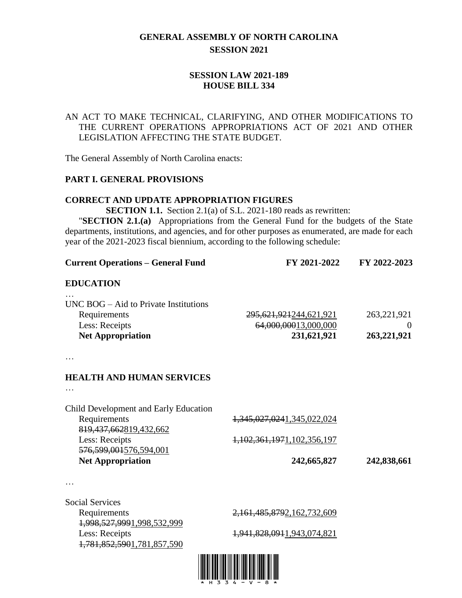# **GENERAL ASSEMBLY OF NORTH CAROLINA SESSION 2021**

# **SESSION LAW 2021-189 HOUSE BILL 334**

# AN ACT TO MAKE TECHNICAL, CLARIFYING, AND OTHER MODIFICATIONS TO THE CURRENT OPERATIONS APPROPRIATIONS ACT OF 2021 AND OTHER LEGISLATION AFFECTING THE STATE BUDGET.

The General Assembly of North Carolina enacts:

### **PART I. GENERAL PROVISIONS**

#### **CORRECT AND UPDATE APPROPRIATION FIGURES**

**SECTION 1.1.** Section 2.1(a) of S.L. 2021-180 reads as rewritten:

"**SECTION 2.1.(a)** Appropriations from the General Fund for the budgets of the State departments, institutions, and agencies, and for other purposes as enumerated, are made for each year of the 2021-2023 fiscal biennium, according to the following schedule:

| <b>Current Operations - General Fund</b>                                                                                            | FY 2021-2022                                                      | FY 2022-2023                             |
|-------------------------------------------------------------------------------------------------------------------------------------|-------------------------------------------------------------------|------------------------------------------|
| <b>EDUCATION</b>                                                                                                                    |                                                                   |                                          |
| $UNC$ BOG $-$ Aid to Private Institutions<br>Requirements<br>Less: Receipts<br><b>Net Appropriation</b>                             | 295, 621, 921244, 621, 921<br>64,000,00013,000,000<br>231,621,921 | 263, 221, 921<br>$\theta$<br>263,221,921 |
|                                                                                                                                     |                                                                   |                                          |
| <b>HEALTH AND HUMAN SERVICES</b>                                                                                                    |                                                                   |                                          |
|                                                                                                                                     |                                                                   |                                          |
| Child Development and Early Education<br>Requirements<br>819, 437, 662819, 432, 662<br>Less: Receipts<br>576, 599, 001576, 594, 001 | 1,345,027,0241,345,022,024<br>1,102,361,1971,102,356,197          |                                          |
| <b>Net Appropriation</b>                                                                                                            | 242,665,827                                                       | 242,838,661                              |
|                                                                                                                                     |                                                                   |                                          |
| Cocial Corricos                                                                                                                     |                                                                   |                                          |

Social Services 1,998,527,9991,998,532,999 Less: Receipts 1,941,828,0911,943,074,821 1,781,852,5901,781,857,590

Requirements 2,161,485,8792,162,732,609

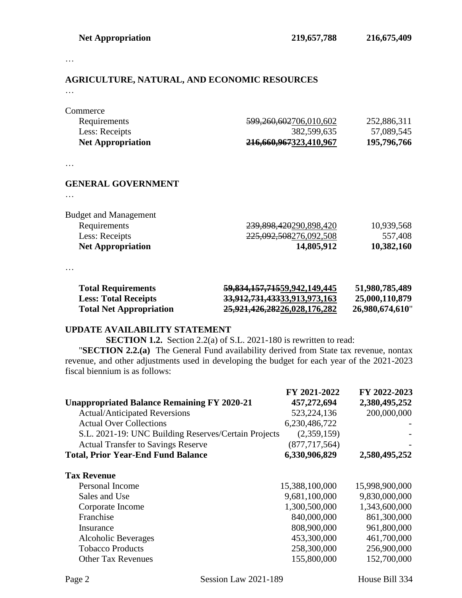…

# **AGRICULTURE, NATURAL, AND ECONOMIC RESOURCES**

…

| <b>Net Appropriation</b> | 216,660,967323,410,967             | 195,796,766 |
|--------------------------|------------------------------------|-------------|
| Less: Receipts           | 382,599,635                        | 57,089,545  |
| Requirements             | <del>599,260,602</del> 706,010,602 | 252,886,311 |
| Commerce                 |                                    |             |

…

#### **GENERAL GOVERNMENT**

…

| <b>Net Appropriation</b>     | 14,805,912             | 10,382,160 |
|------------------------------|------------------------|------------|
| Less: Receipts               | 225,092,508276,092,508 | 557,408    |
| Requirements                 | 239,898,420290,898,420 | 10,939,568 |
| <b>Budget and Management</b> |                        |            |

…

| <b>Total Requirements</b>      | 59,834,157,71559,942,149,445 | 51,980,785,489  |
|--------------------------------|------------------------------|-----------------|
| <b>Less: Total Receipts</b>    | 33,912,731,43333,913,973,163 | 25,000,110,879  |
| <b>Total Net Appropriation</b> | 25,921,426,28226,028,176,282 | 26,980,674,610" |

#### **UPDATE AVAILABILITY STATEMENT**

**SECTION 1.2.** Section 2.2(a) of S.L. 2021-180 is rewritten to read:

"**SECTION 2.2.(a)** The General Fund availability derived from State tax revenue, nontax revenue, and other adjustments used in developing the budget for each year of the 2021-2023 fiscal biennium is as follows:

|                                                      | FY 2021-2022    | FY 2022-2023   |
|------------------------------------------------------|-----------------|----------------|
| <b>Unappropriated Balance Remaining FY 2020-21</b>   | 457,272,694     | 2,380,495,252  |
| <b>Actual/Anticipated Reversions</b>                 | 523, 224, 136   | 200,000,000    |
| <b>Actual Over Collections</b>                       | 6,230,486,722   |                |
| S.L. 2021-19: UNC Building Reserves/Certain Projects | (2,359,159)     |                |
| <b>Actual Transfer to Savings Reserve</b>            | (877, 717, 564) |                |
| <b>Total, Prior Year-End Fund Balance</b>            | 6,330,906,829   | 2,580,495,252  |
| <b>Tax Revenue</b>                                   |                 |                |
| Personal Income                                      | 15,388,100,000  | 15,998,900,000 |
| Sales and Use                                        | 9,681,100,000   | 9,830,000,000  |
| Corporate Income                                     | 1,300,500,000   | 1,343,600,000  |
| Franchise                                            | 840,000,000     | 861,300,000    |
| Insurance                                            | 808,900,000     | 961,800,000    |
| <b>Alcoholic Beverages</b>                           | 453,300,000     | 461,700,000    |
| <b>Tobacco Products</b>                              | 258,300,000     | 256,900,000    |
| <b>Other Tax Revenues</b>                            | 155,800,000     | 152,700,000    |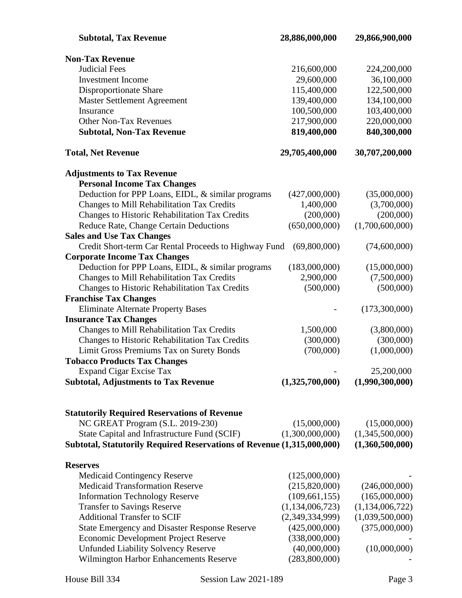| <b>Subtotal, Tax Revenue</b>                                           | 28,886,000,000     | 29,866,900,000     |
|------------------------------------------------------------------------|--------------------|--------------------|
| <b>Non-Tax Revenue</b>                                                 |                    |                    |
| <b>Judicial Fees</b>                                                   | 216,600,000        | 224,200,000        |
| <b>Investment Income</b>                                               | 29,600,000         | 36,100,000         |
| Disproportionate Share                                                 | 115,400,000        | 122,500,000        |
| <b>Master Settlement Agreement</b>                                     | 139,400,000        | 134,100,000        |
| Insurance                                                              | 100,500,000        | 103,400,000        |
| <b>Other Non-Tax Revenues</b>                                          | 217,900,000        | 220,000,000        |
| <b>Subtotal, Non-Tax Revenue</b>                                       | 819,400,000        | 840,300,000        |
| <b>Total, Net Revenue</b>                                              | 29,705,400,000     | 30,707,200,000     |
| <b>Adjustments to Tax Revenue</b>                                      |                    |                    |
| <b>Personal Income Tax Changes</b>                                     |                    |                    |
| Deduction for PPP Loans, EIDL, & similar programs                      | (427,000,000)      | (35,000,000)       |
| Changes to Mill Rehabilitation Tax Credits                             | 1,400,000          | (3,700,000)        |
| Changes to Historic Rehabilitation Tax Credits                         | (200,000)          | (200,000)          |
| Reduce Rate, Change Certain Deductions                                 | (650,000,000)      | (1,700,600,000)    |
| <b>Sales and Use Tax Changes</b>                                       |                    |                    |
| Credit Short-term Car Rental Proceeds to Highway Fund                  | (69,800,000)       | (74,600,000)       |
| <b>Corporate Income Tax Changes</b>                                    |                    |                    |
| Deduction for PPP Loans, EIDL, & similar programs                      | (183,000,000)      | (15,000,000)       |
| Changes to Mill Rehabilitation Tax Credits                             | 2,900,000          | (7,500,000)        |
| Changes to Historic Rehabilitation Tax Credits                         | (500,000)          | (500,000)          |
| <b>Franchise Tax Changes</b>                                           |                    |                    |
| <b>Eliminate Alternate Property Bases</b>                              |                    | (173,300,000)      |
| <b>Insurance Tax Changes</b>                                           |                    |                    |
| Changes to Mill Rehabilitation Tax Credits                             | 1,500,000          | (3,800,000)        |
| Changes to Historic Rehabilitation Tax Credits                         | (300,000)          | (300,000)          |
| Limit Gross Premiums Tax on Surety Bonds                               | (700,000)          | (1,000,000)        |
| <b>Tobacco Products Tax Changes</b>                                    |                    |                    |
| <b>Expand Cigar Excise Tax</b>                                         |                    | 25,200,000         |
| <b>Subtotal, Adjustments to Tax Revenue</b>                            | (1,325,700,000)    | (1,990,300,000)    |
|                                                                        |                    |                    |
| <b>Statutorily Required Reservations of Revenue</b>                    |                    |                    |
| NC GREAT Program (S.L. 2019-230)                                       | (15,000,000)       | (15,000,000)       |
| State Capital and Infrastructure Fund (SCIF)                           | (1,300,000,000)    | (1,345,500,000)    |
| Subtotal, Statutorily Required Reservations of Revenue (1,315,000,000) |                    | (1,360,500,000)    |
| <b>Reserves</b>                                                        |                    |                    |
| <b>Medicaid Contingency Reserve</b>                                    | (125,000,000)      |                    |
| <b>Medicaid Transformation Reserve</b>                                 | (215,820,000)      | (246,000,000)      |
| <b>Information Technology Reserve</b>                                  | (109, 661, 155)    | (165,000,000)      |
| <b>Transfer to Savings Reserve</b>                                     | (1, 134, 006, 723) | (1, 134, 006, 722) |
| <b>Additional Transfer to SCIF</b>                                     | (2,349,334,999)    | (1,039,500,000)    |
| <b>State Emergency and Disaster Response Reserve</b>                   | (425,000,000)      | (375,000,000)      |
| <b>Economic Development Project Reserve</b>                            | (338,000,000)      |                    |
|                                                                        |                    |                    |
| <b>Unfunded Liability Solvency Reserve</b>                             | (40,000,000)       | (10,000,000)       |
| <b>Wilmington Harbor Enhancements Reserve</b>                          | (283,800,000)      |                    |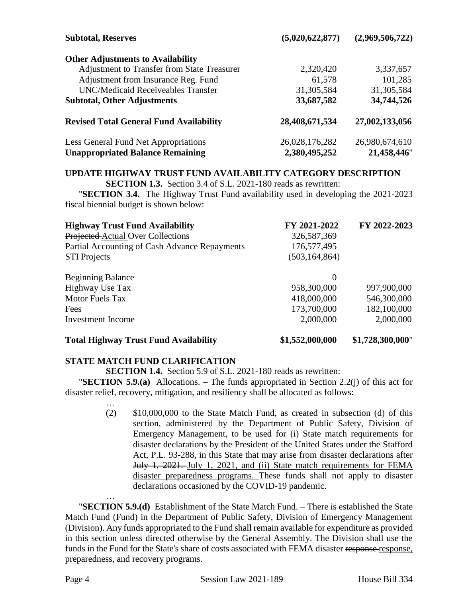| <b>Subtotal, Reserves</b>                          | (5,020,622,877) | (2,969,506,722) |
|----------------------------------------------------|-----------------|-----------------|
| <b>Other Adjustments to Availability</b>           |                 |                 |
| <b>Adjustment to Transfer from State Treasurer</b> | 2,320,420       | 3,337,657       |
| Adjustment from Insurance Reg. Fund                | 61,578          | 101,285         |
| <b>UNC/Medicaid Receiveables Transfer</b>          | 31,305,584      | 31, 305, 584    |
| <b>Subtotal, Other Adjustments</b>                 | 33,687,582      | 34,744,526      |
| <b>Revised Total General Fund Availability</b>     | 28,408,671,534  | 27,002,133,056  |
| Less General Fund Net Appropriations               | 26,028,176,282  | 26,980,674,610  |
| <b>Unappropriated Balance Remaining</b>            | 2,380,495,252   | 21,458,446"     |

# **UPDATE HIGHWAY TRUST FUND AVAILABILITY CATEGORY DESCRIPTION**

**SECTION 1.3.** Section 3.4 of S.L. 2021-180 reads as rewritten:

"**SECTION 3.4.** The Highway Trust Fund availability used in developing the 2021-2023 fiscal biennial budget is shown below:

| <b>Highway Trust Fund Availability</b>        | FY 2021-2022    | FY 2022-2023 |
|-----------------------------------------------|-----------------|--------------|
| Projected Actual Over Collections             | 326,587,369     |              |
| Partial Accounting of Cash Advance Repayments | 176,577,495     |              |
| <b>STI Projects</b>                           | (503, 164, 864) |              |
| <b>Beginning Balance</b>                      | $\Omega$        |              |
| Highway Use Tax                               | 958,300,000     | 997,900,000  |
| <b>Motor Fuels Tax</b>                        | 418,000,000     | 546,300,000  |
| Fees                                          | 173,700,000     | 182,100,000  |
| Investment Income                             | 2,000,000       | 2,000,000    |
|                                               |                 |              |

# **Total Highway Trust Fund Availability \$1,552,000,000 \$1,728,300,000**"

# **STATE MATCH FUND CLARIFICATION**

**SECTION 1.4.** Section 5.9 of S.L. 2021-180 reads as rewritten:

"**SECTION 5.9.(a)** Allocations. – The funds appropriated in Section 2.2(j) of this act for disaster relief, recovery, mitigation, and resiliency shall be allocated as follows:

> … (2) \$10,000,000 to the State Match Fund, as created in subsection (d) of this section, administered by the Department of Public Safety, Division of Emergency Management, to be used for (i) State match requirements for disaster declarations by the President of the United States under the Stafford Act, P.L. 93-288, in this State that may arise from disaster declarations after July 1, 2021. July 1, 2021, and (ii) State match requirements for FEMA disaster preparedness programs. These funds shall not apply to disaster declarations occasioned by the COVID-19 pandemic.

"**SECTION 5.9.(d)** Establishment of the State Match Fund. – There is established the State Match Fund (Fund) in the Department of Public Safety, Division of Emergency Management (Division). Any funds appropriated to the Fund shall remain available for expenditure as provided in this section unless directed otherwise by the General Assembly. The Division shall use the funds in the Fund for the State's share of costs associated with FEMA disaster response response, preparedness, and recovery programs.

…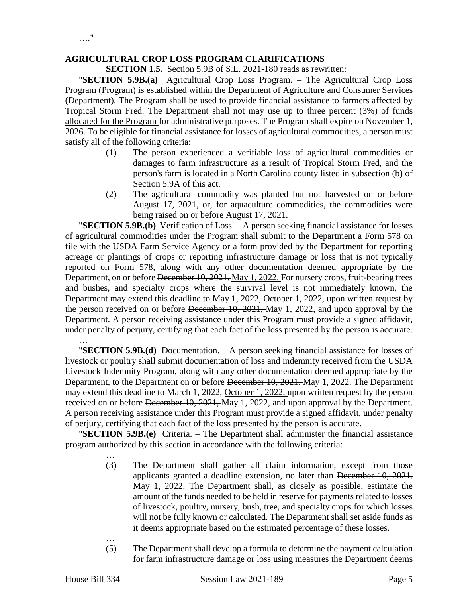#### **AGRICULTURAL CROP LOSS PROGRAM CLARIFICATIONS**

**SECTION 1.5.** Section 5.9B of S.L. 2021-180 reads as rewritten:

"**SECTION 5.9B.(a)** Agricultural Crop Loss Program. – The Agricultural Crop Loss Program (Program) is established within the Department of Agriculture and Consumer Services (Department). The Program shall be used to provide financial assistance to farmers affected by Tropical Storm Fred. The Department shall not may use up to three percent (3%) of funds allocated for the Program for administrative purposes. The Program shall expire on November 1, 2026. To be eligible for financial assistance for losses of agricultural commodities, a person must satisfy all of the following criteria:

- (1) The person experienced a verifiable loss of agricultural commodities or damages to farm infrastructure as a result of Tropical Storm Fred, and the person's farm is located in a North Carolina county listed in subsection (b) of Section 5.9A of this act.
- (2) The agricultural commodity was planted but not harvested on or before August 17, 2021, or, for aquaculture commodities, the commodities were being raised on or before August 17, 2021.

"**SECTION 5.9B.(b)** Verification of Loss. – A person seeking financial assistance for losses of agricultural commodities under the Program shall submit to the Department a Form 578 on file with the USDA Farm Service Agency or a form provided by the Department for reporting acreage or plantings of crops or reporting infrastructure damage or loss that is not typically reported on Form 578, along with any other documentation deemed appropriate by the Department, on or before December 10, 2021. May 1, 2022. For nursery crops, fruit-bearing trees and bushes, and specialty crops where the survival level is not immediately known, the Department may extend this deadline to May 1, 2022, October 1, 2022, upon written request by the person received on or before December 10, 2021, May 1, 2022, and upon approval by the Department. A person receiving assistance under this Program must provide a signed affidavit, under penalty of perjury, certifying that each fact of the loss presented by the person is accurate.

… "**SECTION 5.9B.(d)** Documentation. – A person seeking financial assistance for losses of livestock or poultry shall submit documentation of loss and indemnity received from the USDA Livestock Indemnity Program, along with any other documentation deemed appropriate by the Department, to the Department on or before December 10, 2021. May 1, 2022. The Department may extend this deadline to March 1, 2022, October 1, 2022, upon written request by the person received on or before December 10, 2021, May 1, 2022, and upon approval by the Department. A person receiving assistance under this Program must provide a signed affidavit, under penalty of perjury, certifying that each fact of the loss presented by the person is accurate.

"**SECTION 5.9B.(e)** Criteria. – The Department shall administer the financial assistance program authorized by this section in accordance with the following criteria:

- (3) The Department shall gather all claim information, except from those applicants granted a deadline extension, no later than December 10, 2021. May 1, 2022. The Department shall, as closely as possible, estimate the amount of the funds needed to be held in reserve for payments related to losses of livestock, poultry, nursery, bush, tree, and specialty crops for which losses will not be fully known or calculated. The Department shall set aside funds as it deems appropriate based on the estimated percentage of these losses.
- (5) The Department shall develop a formula to determine the payment calculation for farm infrastructure damage or loss using measures the Department deems

…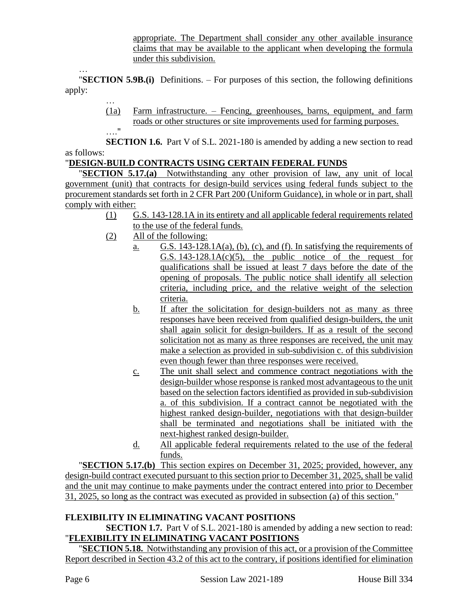appropriate. The Department shall consider any other available insurance claims that may be available to the applicant when developing the formula under this subdivision.

… "**SECTION 5.9B.(i)** Definitions. – For purposes of this section, the following definitions apply:

> … (1a) Farm infrastructure. – Fencing, greenhouses, barns, equipment, and farm roads or other structures or site improvements used for farming purposes. …."

**SECTION 1.6.** Part V of S.L. 2021-180 is amended by adding a new section to read as follows:

# "**DESIGN-BUILD CONTRACTS USING CERTAIN FEDERAL FUNDS**

**SECTION 5.17.(a)** Notwithstanding any other provision of law, any unit of local government (unit) that contracts for design-build services using federal funds subject to the procurement standards set forth in 2 CFR Part 200 (Uniform Guidance), in whole or in part, shall comply with either:

- (1) G.S. 143-128.1A in its entirety and all applicable federal requirements related to the use of the federal funds.
- (2) All of the following:
	- a. G.S. 143-128.1A(a), (b), (c), and (f). In satisfying the requirements of G.S.  $143-128.1A(c)(5)$ , the public notice of the request for qualifications shall be issued at least 7 days before the date of the opening of proposals. The public notice shall identify all selection criteria, including price, and the relative weight of the selection criteria.
	- b. If after the solicitation for design-builders not as many as three responses have been received from qualified design-builders, the unit shall again solicit for design-builders. If as a result of the second solicitation not as many as three responses are received, the unit may make a selection as provided in sub-subdivision c. of this subdivision even though fewer than three responses were received.
	- c. The unit shall select and commence contract negotiations with the design-builder whose response is ranked most advantageous to the unit based on the selection factors identified as provided in sub-subdivision a. of this subdivision. If a contract cannot be negotiated with the highest ranked design-builder, negotiations with that design-builder shall be terminated and negotiations shall be initiated with the next-highest ranked design-builder.
	- d. All applicable federal requirements related to the use of the federal funds.

"**SECTION 5.17.(b)** This section expires on December 31, 2025; provided, however, any design-build contract executed pursuant to this section prior to December 31, 2025, shall be valid and the unit may continue to make payments under the contract entered into prior to December 31, 2025, so long as the contract was executed as provided in subsection (a) of this section."

# **FLEXIBILITY IN ELIMINATING VACANT POSITIONS**

**SECTION 1.7.** Part V of S.L. 2021-180 is amended by adding a new section to read: "**FLEXIBILITY IN ELIMINATING VACANT POSITIONS**

"**SECTION 5.18.** Notwithstanding any provision of this act, or a provision of the Committee Report described in Section 43.2 of this act to the contrary, if positions identified for elimination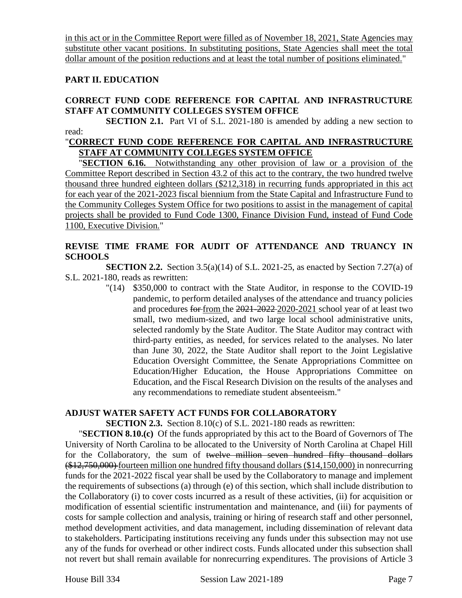in this act or in the Committee Report were filled as of November 18, 2021, State Agencies may substitute other vacant positions. In substituting positions, State Agencies shall meet the total dollar amount of the position reductions and at least the total number of positions eliminated."

## **PART II. EDUCATION**

## **CORRECT FUND CODE REFERENCE FOR CAPITAL AND INFRASTRUCTURE STAFF AT COMMUNITY COLLEGES SYSTEM OFFICE**

**SECTION 2.1.** Part VI of S.L. 2021-180 is amended by adding a new section to read:

#### "**CORRECT FUND CODE REFERENCE FOR CAPITAL AND INFRASTRUCTURE STAFF AT COMMUNITY COLLEGES SYSTEM OFFICE**

"**SECTION 6.16.** Notwithstanding any other provision of law or a provision of the Committee Report described in Section 43.2 of this act to the contrary, the two hundred twelve thousand three hundred eighteen dollars (\$212,318) in recurring funds appropriated in this act for each year of the 2021-2023 fiscal biennium from the State Capital and Infrastructure Fund to the Community Colleges System Office for two positions to assist in the management of capital projects shall be provided to Fund Code 1300, Finance Division Fund, instead of Fund Code 1100, Executive Division."

## **REVISE TIME FRAME FOR AUDIT OF ATTENDANCE AND TRUANCY IN SCHOOLS**

**SECTION 2.2.** Section 3.5(a)(14) of S.L. 2021-25, as enacted by Section 7.27(a) of S.L. 2021-180, reads as rewritten:

> "(14) \$350,000 to contract with the State Auditor, in response to the COVID-19 pandemic, to perform detailed analyses of the attendance and truancy policies and procedures for from the 2021-2022 2020-2021 school year of at least two small, two medium-sized, and two large local school administrative units, selected randomly by the State Auditor. The State Auditor may contract with third-party entities, as needed, for services related to the analyses. No later than June 30, 2022, the State Auditor shall report to the Joint Legislative Education Oversight Committee, the Senate Appropriations Committee on Education/Higher Education, the House Appropriations Committee on Education, and the Fiscal Research Division on the results of the analyses and any recommendations to remediate student absenteeism."

#### **ADJUST WATER SAFETY ACT FUNDS FOR COLLABORATORY**

**SECTION 2.3.** Section 8.10(c) of S.L. 2021-180 reads as rewritten:

"**SECTION 8.10.(c)** Of the funds appropriated by this act to the Board of Governors of The University of North Carolina to be allocated to the University of North Carolina at Chapel Hill for the Collaboratory, the sum of twelve million seven hundred fifty thousand dollars (\$12,750,000) fourteen million one hundred fifty thousand dollars (\$14,150,000) in nonrecurring funds for the 2021-2022 fiscal year shall be used by the Collaboratory to manage and implement the requirements of subsections (a) through (e) of this section, which shall include distribution to the Collaboratory (i) to cover costs incurred as a result of these activities, (ii) for acquisition or modification of essential scientific instrumentation and maintenance, and (iii) for payments of costs for sample collection and analysis, training or hiring of research staff and other personnel, method development activities, and data management, including dissemination of relevant data to stakeholders. Participating institutions receiving any funds under this subsection may not use any of the funds for overhead or other indirect costs. Funds allocated under this subsection shall not revert but shall remain available for nonrecurring expenditures. The provisions of Article 3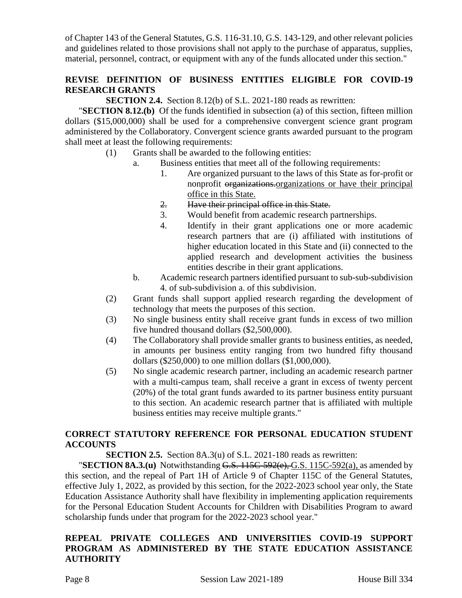of Chapter 143 of the General Statutes, G.S. 116-31.10, G.S. 143-129, and other relevant policies and guidelines related to those provisions shall not apply to the purchase of apparatus, supplies, material, personnel, contract, or equipment with any of the funds allocated under this section."

# **REVISE DEFINITION OF BUSINESS ENTITIES ELIGIBLE FOR COVID-19 RESEARCH GRANTS**

**SECTION 2.4.** Section 8.12(b) of S.L. 2021-180 reads as rewritten:

"**SECTION 8.12.(b)** Of the funds identified in subsection (a) of this section, fifteen million dollars (\$15,000,000) shall be used for a comprehensive convergent science grant program administered by the Collaboratory. Convergent science grants awarded pursuant to the program shall meet at least the following requirements:

- (1) Grants shall be awarded to the following entities:
	- a. Business entities that meet all of the following requirements:
		- 1. Are organized pursuant to the laws of this State as for-profit or nonprofit organizations.organizations or have their principal office in this State.
		- 2. Have their principal office in this State.
		- 3. Would benefit from academic research partnerships.
		- 4. Identify in their grant applications one or more academic research partners that are (i) affiliated with institutions of higher education located in this State and (ii) connected to the applied research and development activities the business entities describe in their grant applications.
	- b. Academic research partners identified pursuant to sub-sub-subdivision 4. of sub-subdivision a. of this subdivision.
- (2) Grant funds shall support applied research regarding the development of technology that meets the purposes of this section.
- (3) No single business entity shall receive grant funds in excess of two million five hundred thousand dollars (\$2,500,000).
- (4) The Collaboratory shall provide smaller grants to business entities, as needed, in amounts per business entity ranging from two hundred fifty thousand dollars (\$250,000) to one million dollars (\$1,000,000).
- (5) No single academic research partner, including an academic research partner with a multi-campus team, shall receive a grant in excess of twenty percent (20%) of the total grant funds awarded to its partner business entity pursuant to this section. An academic research partner that is affiliated with multiple business entities may receive multiple grants."

# **CORRECT STATUTORY REFERENCE FOR PERSONAL EDUCATION STUDENT ACCOUNTS**

**SECTION 2.5.** Section 8A.3(u) of S.L. 2021-180 reads as rewritten:

"**SECTION 8A.3.(u)** Notwithstanding G.S. 115C-592(e), G.S. 115C-592(a), as amended by this section, and the repeal of Part 1H of Article 9 of Chapter 115C of the General Statutes, effective July 1, 2022, as provided by this section, for the 2022-2023 school year only, the State Education Assistance Authority shall have flexibility in implementing application requirements for the Personal Education Student Accounts for Children with Disabilities Program to award scholarship funds under that program for the 2022-2023 school year."

# **REPEAL PRIVATE COLLEGES AND UNIVERSITIES COVID-19 SUPPORT PROGRAM AS ADMINISTERED BY THE STATE EDUCATION ASSISTANCE AUTHORITY**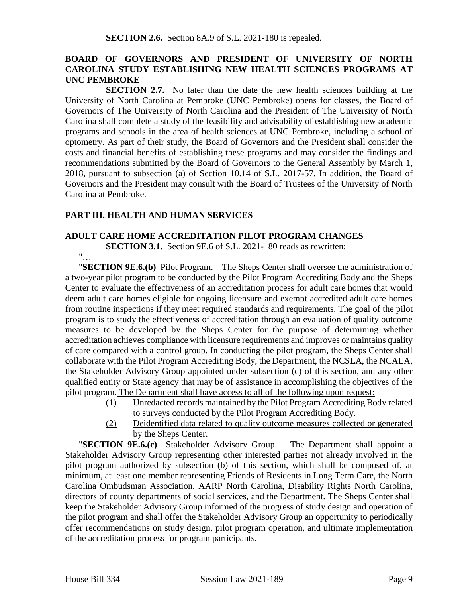## **BOARD OF GOVERNORS AND PRESIDENT OF UNIVERSITY OF NORTH CAROLINA STUDY ESTABLISHING NEW HEALTH SCIENCES PROGRAMS AT UNC PEMBROKE**

**SECTION 2.7.** No later than the date the new health sciences building at the University of North Carolina at Pembroke (UNC Pembroke) opens for classes, the Board of Governors of The University of North Carolina and the President of The University of North Carolina shall complete a study of the feasibility and advisability of establishing new academic programs and schools in the area of health sciences at UNC Pembroke, including a school of optometry. As part of their study, the Board of Governors and the President shall consider the costs and financial benefits of establishing these programs and may consider the findings and recommendations submitted by the Board of Governors to the General Assembly by March 1, 2018, pursuant to subsection (a) of Section 10.14 of S.L. 2017-57. In addition, the Board of Governors and the President may consult with the Board of Trustees of the University of North Carolina at Pembroke.

### **PART III. HEALTH AND HUMAN SERVICES**

#### **ADULT CARE HOME ACCREDITATION PILOT PROGRAM CHANGES**

**SECTION 3.1.** Section 9E.6 of S.L. 2021-180 reads as rewritten:

"… "**SECTION 9E.6.(b)** Pilot Program. – The Sheps Center shall oversee the administration of a two-year pilot program to be conducted by the Pilot Program Accrediting Body and the Sheps Center to evaluate the effectiveness of an accreditation process for adult care homes that would deem adult care homes eligible for ongoing licensure and exempt accredited adult care homes from routine inspections if they meet required standards and requirements. The goal of the pilot program is to study the effectiveness of accreditation through an evaluation of quality outcome measures to be developed by the Sheps Center for the purpose of determining whether accreditation achieves compliance with licensure requirements and improves or maintains quality of care compared with a control group. In conducting the pilot program, the Sheps Center shall collaborate with the Pilot Program Accrediting Body, the Department, the NCSLA, the NCALA, the Stakeholder Advisory Group appointed under subsection (c) of this section, and any other qualified entity or State agency that may be of assistance in accomplishing the objectives of the pilot program. The Department shall have access to all of the following upon request:

- (1) Unredacted records maintained by the Pilot Program Accrediting Body related to surveys conducted by the Pilot Program Accrediting Body.
- (2) Deidentified data related to quality outcome measures collected or generated by the Sheps Center.

"**SECTION 9E.6.(c)** Stakeholder Advisory Group. – The Department shall appoint a Stakeholder Advisory Group representing other interested parties not already involved in the pilot program authorized by subsection (b) of this section, which shall be composed of, at minimum, at least one member representing Friends of Residents in Long Term Care, the North Carolina Ombudsman Association, AARP North Carolina, Disability Rights North Carolina, directors of county departments of social services, and the Department. The Sheps Center shall keep the Stakeholder Advisory Group informed of the progress of study design and operation of the pilot program and shall offer the Stakeholder Advisory Group an opportunity to periodically offer recommendations on study design, pilot program operation, and ultimate implementation of the accreditation process for program participants.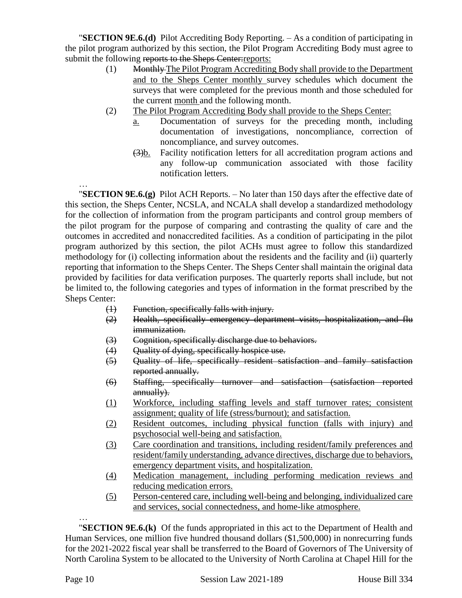"**SECTION 9E.6.(d)** Pilot Accrediting Body Reporting. – As a condition of participating in the pilot program authorized by this section, the Pilot Program Accrediting Body must agree to submit the following reports to the Sheps Center: reports:

- (1) Monthly The Pilot Program Accrediting Body shall provide to the Department and to the Sheps Center monthly survey schedules which document the surveys that were completed for the previous month and those scheduled for the current month and the following month.
- (2) The Pilot Program Accrediting Body shall provide to the Sheps Center:
	- a. Documentation of surveys for the preceding month, including documentation of investigations, noncompliance, correction of noncompliance, and survey outcomes.
		- (3)b. Facility notification letters for all accreditation program actions and any follow-up communication associated with those facility notification letters.

… "**SECTION 9E.6.(g)** Pilot ACH Reports. – No later than 150 days after the effective date of this section, the Sheps Center, NCSLA, and NCALA shall develop a standardized methodology for the collection of information from the program participants and control group members of the pilot program for the purpose of comparing and contrasting the quality of care and the outcomes in accredited and nonaccredited facilities. As a condition of participating in the pilot program authorized by this section, the pilot ACHs must agree to follow this standardized methodology for (i) collecting information about the residents and the facility and (ii) quarterly reporting that information to the Sheps Center. The Sheps Center shall maintain the original data provided by facilities for data verification purposes. The quarterly reports shall include, but not be limited to, the following categories and types of information in the format prescribed by the Sheps Center:

- (1) Function, specifically falls with injury.
- (2) Health, specifically emergency department visits, hospitalization, and flu immunization.
- (3) Cognition, specifically discharge due to behaviors.
- (4) Quality of dying, specifically hospice use.
- (5) Quality of life, specifically resident satisfaction and family satisfaction reported annually.
- (6) Staffing, specifically turnover and satisfaction (satisfaction reported annually).
- (1) Workforce, including staffing levels and staff turnover rates; consistent assignment; quality of life (stress/burnout); and satisfaction.
- (2) Resident outcomes, including physical function (falls with injury) and psychosocial well-being and satisfaction.
- (3) Care coordination and transitions, including resident/family preferences and resident/family understanding, advance directives, discharge due to behaviors, emergency department visits, and hospitalization.
- (4) Medication management, including performing medication reviews and reducing medication errors.
- (5) Person-centered care, including well-being and belonging, individualized care and services, social connectedness, and home-like atmosphere.

… "**SECTION 9E.6.(k)** Of the funds appropriated in this act to the Department of Health and Human Services, one million five hundred thousand dollars (\$1,500,000) in nonrecurring funds for the 2021-2022 fiscal year shall be transferred to the Board of Governors of The University of North Carolina System to be allocated to the University of North Carolina at Chapel Hill for the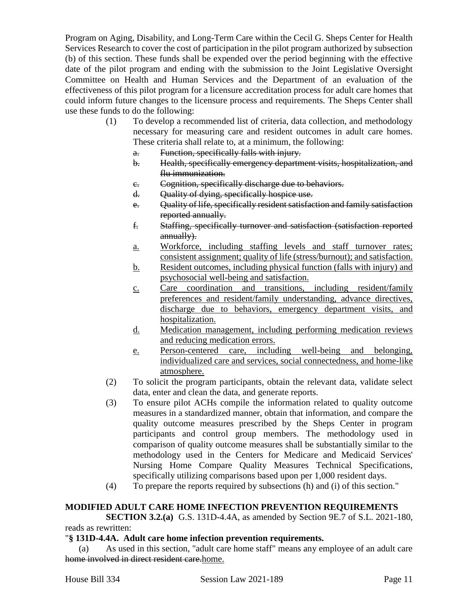Program on Aging, Disability, and Long-Term Care within the Cecil G. Sheps Center for Health Services Research to cover the cost of participation in the pilot program authorized by subsection (b) of this section. These funds shall be expended over the period beginning with the effective date of the pilot program and ending with the submission to the Joint Legislative Oversight Committee on Health and Human Services and the Department of an evaluation of the effectiveness of this pilot program for a licensure accreditation process for adult care homes that could inform future changes to the licensure process and requirements. The Sheps Center shall use these funds to do the following:

- (1) To develop a recommended list of criteria, data collection, and methodology necessary for measuring care and resident outcomes in adult care homes. These criteria shall relate to, at a minimum, the following:
	- a. Function, specifically falls with injury.
	- b. Health, specifically emergency department visits, hospitalization, and flu immunization.
	- c. Cognition, specifically discharge due to behaviors.
	- d. Quality of dying, specifically hospice use.
	- e. Quality of life, specifically resident satisfaction and family satisfaction reported annually.
	- f. Staffing, specifically turnover and satisfaction (satisfaction reported annually).
	- a. Workforce, including staffing levels and staff turnover rates; consistent assignment; quality of life (stress/burnout); and satisfaction.
	- b. Resident outcomes, including physical function (falls with injury) and psychosocial well-being and satisfaction.
	- c. Care coordination and transitions, including resident/family preferences and resident/family understanding, advance directives, discharge due to behaviors, emergency department visits, and hospitalization.
	- d. Medication management, including performing medication reviews and reducing medication errors.
	- e. Person-centered care, including well-being and belonging, individualized care and services, social connectedness, and home-like atmosphere.
- (2) To solicit the program participants, obtain the relevant data, validate select data, enter and clean the data, and generate reports.
- (3) To ensure pilot ACHs compile the information related to quality outcome measures in a standardized manner, obtain that information, and compare the quality outcome measures prescribed by the Sheps Center in program participants and control group members. The methodology used in comparison of quality outcome measures shall be substantially similar to the methodology used in the Centers for Medicare and Medicaid Services' Nursing Home Compare Quality Measures Technical Specifications, specifically utilizing comparisons based upon per 1,000 resident days.
- (4) To prepare the reports required by subsections (h) and (i) of this section."

# **MODIFIED ADULT CARE HOME INFECTION PREVENTION REQUIREMENTS**

**SECTION 3.2.(a)** G.S. 131D-4.4A, as amended by Section 9E.7 of S.L. 2021-180, reads as rewritten:

# "**§ 131D-4.4A. Adult care home infection prevention requirements.**

(a) As used in this section, "adult care home staff" means any employee of an adult care home involved in direct resident care.home.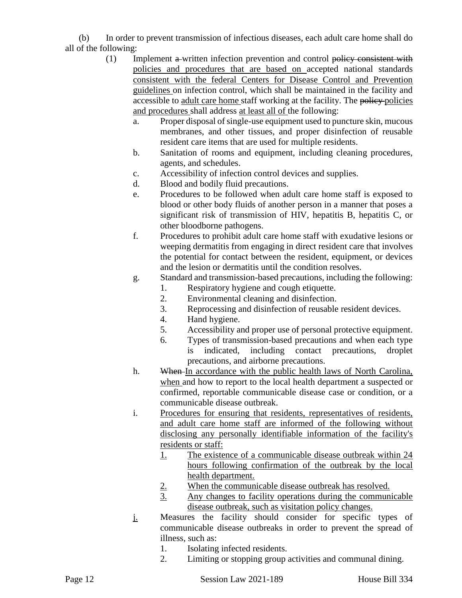(b) In order to prevent transmission of infectious diseases, each adult care home shall do all of the following:

- (1) Implement a written infection prevention and control policy consistent with policies and procedures that are based on accepted national standards consistent with the federal Centers for Disease Control and Prevention guidelines on infection control, which shall be maintained in the facility and accessible to adult care home staff working at the facility. The policy policies and procedures shall address at least all of the following:
	- a. Proper disposal of single-use equipment used to puncture skin, mucous membranes, and other tissues, and proper disinfection of reusable resident care items that are used for multiple residents.
	- b. Sanitation of rooms and equipment, including cleaning procedures, agents, and schedules.
	- c. Accessibility of infection control devices and supplies.
	- d. Blood and bodily fluid precautions.
	- e. Procedures to be followed when adult care home staff is exposed to blood or other body fluids of another person in a manner that poses a significant risk of transmission of HIV, hepatitis B, hepatitis C, or other bloodborne pathogens.
	- f. Procedures to prohibit adult care home staff with exudative lesions or weeping dermatitis from engaging in direct resident care that involves the potential for contact between the resident, equipment, or devices and the lesion or dermatitis until the condition resolves.
	- g. Standard and transmission-based precautions, including the following:
		- 1. Respiratory hygiene and cough etiquette.
		- 2. Environmental cleaning and disinfection.
		- 3. Reprocessing and disinfection of reusable resident devices.
		- 4. Hand hygiene.
		- 5. Accessibility and proper use of personal protective equipment.
		- 6. Types of transmission-based precautions and when each type is indicated, including contact precautions, droplet precautions, and airborne precautions.
	- h. When In accordance with the public health laws of North Carolina, when and how to report to the local health department a suspected or confirmed, reportable communicable disease case or condition, or a communicable disease outbreak.
	- i. Procedures for ensuring that residents, representatives of residents, and adult care home staff are informed of the following without disclosing any personally identifiable information of the facility's residents or staff:
		- 1. The existence of a communicable disease outbreak within 24 hours following confirmation of the outbreak by the local health department.
		- 2. When the communicable disease outbreak has resolved.
		- 3. Any changes to facility operations during the communicable disease outbreak, such as visitation policy changes.
	- j. Measures the facility should consider for specific types of communicable disease outbreaks in order to prevent the spread of illness, such as:
		- 1. Isolating infected residents.
		- 2. Limiting or stopping group activities and communal dining.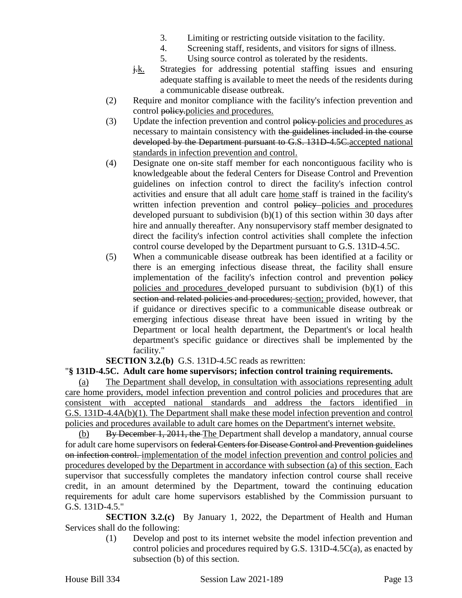- 3. Limiting or restricting outside visitation to the facility.
- 4. Screening staff, residents, and visitors for signs of illness.
- 5. Using source control as tolerated by the residents.
- $\frac{1}{k}$ . Strategies for addressing potential staffing issues and ensuring adequate staffing is available to meet the needs of the residents during a communicable disease outbreak.
- (2) Require and monitor compliance with the facility's infection prevention and control policy. policies and procedures.
- (3) Update the infection prevention and control policy policies and procedures as necessary to maintain consistency with the guidelines included in the course developed by the Department pursuant to G.S. 131D-4.5C.accepted national standards in infection prevention and control.
- (4) Designate one on-site staff member for each noncontiguous facility who is knowledgeable about the federal Centers for Disease Control and Prevention guidelines on infection control to direct the facility's infection control activities and ensure that all adult care home staff is trained in the facility's written infection prevention and control policy policies and procedures developed pursuant to subdivision (b)(1) of this section within 30 days after hire and annually thereafter. Any nonsupervisory staff member designated to direct the facility's infection control activities shall complete the infection control course developed by the Department pursuant to G.S. 131D-4.5C.
- (5) When a communicable disease outbreak has been identified at a facility or there is an emerging infectious disease threat, the facility shall ensure implementation of the facility's infection control and prevention policy policies and procedures developed pursuant to subdivision (b)(1) of this section and related policies and procedures; section; provided, however, that if guidance or directives specific to a communicable disease outbreak or emerging infectious disease threat have been issued in writing by the Department or local health department, the Department's or local health department's specific guidance or directives shall be implemented by the facility."

**SECTION 3.2.(b)** G.S. 131D-4.5C reads as rewritten:

# "**§ 131D-4.5C. Adult care home supervisors; infection control training requirements.**

(a) The Department shall develop, in consultation with associations representing adult care home providers, model infection prevention and control policies and procedures that are consistent with accepted national standards and address the factors identified in G.S. 131D-4.4A(b)(1). The Department shall make these model infection prevention and control policies and procedures available to adult care homes on the Department's internet website.

(b) By December 1, 2011, the The Department shall develop a mandatory, annual course for adult care home supervisors on federal Centers for Disease Control and Prevention guidelines on infection control. implementation of the model infection prevention and control policies and procedures developed by the Department in accordance with subsection (a) of this section. Each supervisor that successfully completes the mandatory infection control course shall receive credit, in an amount determined by the Department, toward the continuing education requirements for adult care home supervisors established by the Commission pursuant to G.S. 131D-4.5."

**SECTION 3.2.(c)** By January 1, 2022, the Department of Health and Human Services shall do the following:

> (1) Develop and post to its internet website the model infection prevention and control policies and procedures required by G.S. 131D-4.5C(a), as enacted by subsection (b) of this section.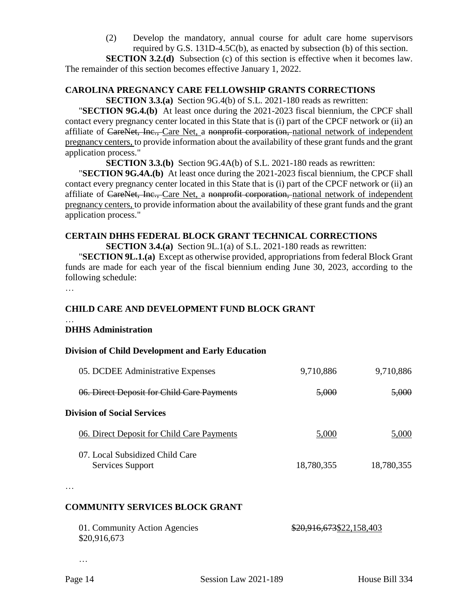(2) Develop the mandatory, annual course for adult care home supervisors required by G.S. 131D-4.5C(b), as enacted by subsection (b) of this section.

**SECTION 3.2.(d)** Subsection (c) of this section is effective when it becomes law. The remainder of this section becomes effective January 1, 2022.

#### **CAROLINA PREGNANCY CARE FELLOWSHIP GRANTS CORRECTIONS**

**SECTION 3.3.(a)** Section 9G.4(b) of S.L. 2021-180 reads as rewritten:

"**SECTION 9G.4.(b)** At least once during the 2021-2023 fiscal biennium, the CPCF shall contact every pregnancy center located in this State that is (i) part of the CPCF network or (ii) an affiliate of CareNet, Inc., Care Net, a nonprofit corporation, national network of independent pregnancy centers, to provide information about the availability of these grant funds and the grant application process."

**SECTION 3.3.(b)** Section 9G.4A(b) of S.L. 2021-180 reads as rewritten:

"**SECTION 9G.4A.(b)** At least once during the 2021-2023 fiscal biennium, the CPCF shall contact every pregnancy center located in this State that is (i) part of the CPCF network or (ii) an affiliate of CareNet, Inc., Care Net, a nonprofit corporation, national network of independent pregnancy centers, to provide information about the availability of these grant funds and the grant application process."

# **CERTAIN DHHS FEDERAL BLOCK GRANT TECHNICAL CORRECTIONS**

**SECTION 3.4.(a)** Section 9L.1(a) of S.L. 2021-180 reads as rewritten:

"**SECTION 9L.1.(a)** Except as otherwise provided, appropriations from federal Block Grant funds are made for each year of the fiscal biennium ending June 30, 2023, according to the following schedule:

…

# **CHILD CARE AND DEVELOPMENT FUND BLOCK GRANT**

#### … **DHHS Administration**

# **Division of Child Development and Early Education**

| 05. DCDEE Administrative Expenses                  | 9,710,886  | 9,710,886  |
|----------------------------------------------------|------------|------------|
| 06. Direct Deposit for Child Care Payments         | 5,000      | 5,000      |
| <b>Division of Social Services</b>                 |            |            |
| 06. Direct Deposit for Child Care Payments         | 5,000      | 5,000      |
| 07 Local Subsidized Child Care<br>Services Support | 18,780,355 | 18,780,355 |

…

# **COMMUNITY SERVICES BLOCK GRANT**

| 01. Community Action Agencies | \$20,916,673\$22,158,403 |
|-------------------------------|--------------------------|
| \$20,916,673                  |                          |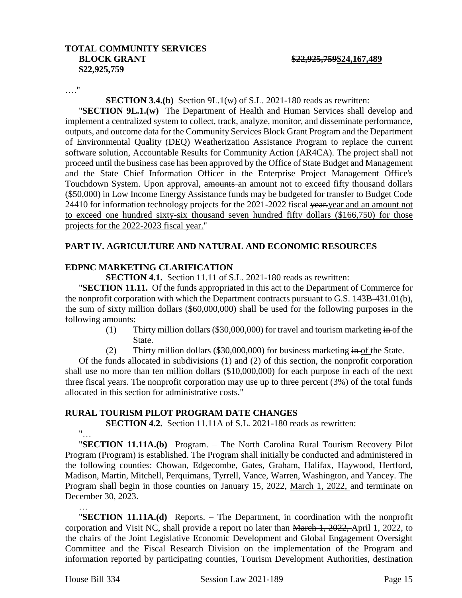#### **TOTAL COMMUNITY SERVICES BLOCK GRANT \$22,925,759\$24,167,489 \$22,925,759**

…."

**SECTION 3.4.(b)** Section 9L.1(w) of S.L. 2021-180 reads as rewritten:

"**SECTION 9L.1.(w)** The Department of Health and Human Services shall develop and implement a centralized system to collect, track, analyze, monitor, and disseminate performance, outputs, and outcome data for the Community Services Block Grant Program and the Department of Environmental Quality (DEQ) Weatherization Assistance Program to replace the current software solution, Accountable Results for Community Action (AR4CA). The project shall not proceed until the business case has been approved by the Office of State Budget and Management and the State Chief Information Officer in the Enterprise Project Management Office's Touchdown System. Upon approval, amounts an amount not to exceed fifty thousand dollars (\$50,000) in Low Income Energy Assistance funds may be budgeted for transfer to Budget Code 24410 for information technology projects for the 2021-2022 fiscal year-year and an amount not to exceed one hundred sixty-six thousand seven hundred fifty dollars (\$166,750) for those projects for the 2022-2023 fiscal year."

### **PART IV. AGRICULTURE AND NATURAL AND ECONOMIC RESOURCES**

#### **EDPNC MARKETING CLARIFICATION**

**SECTION 4.1.** Section 11.11 of S.L. 2021-180 reads as rewritten:

"**SECTION 11.11.** Of the funds appropriated in this act to the Department of Commerce for the nonprofit corporation with which the Department contracts pursuant to G.S. 143B-431.01(b), the sum of sixty million dollars (\$60,000,000) shall be used for the following purposes in the following amounts:

- (1) Thirty million dollars (\$30,000,000) for travel and tourism marketing in of the State.
- (2) Thirty million dollars (\$30,000,000) for business marketing  $\frac{1}{2}$  in of the State.

Of the funds allocated in subdivisions (1) and (2) of this section, the nonprofit corporation shall use no more than ten million dollars (\$10,000,000) for each purpose in each of the next three fiscal years. The nonprofit corporation may use up to three percent (3%) of the total funds allocated in this section for administrative costs."

#### **RURAL TOURISM PILOT PROGRAM DATE CHANGES**

**SECTION 4.2.** Section 11.11A of S.L. 2021-180 reads as rewritten:

"…

…

"**SECTION 11.11A.(b)** Program. – The North Carolina Rural Tourism Recovery Pilot Program (Program) is established. The Program shall initially be conducted and administered in the following counties: Chowan, Edgecombe, Gates, Graham, Halifax, Haywood, Hertford, Madison, Martin, Mitchell, Perquimans, Tyrrell, Vance, Warren, Washington, and Yancey. The Program shall begin in those counties on January 15, 2022, March 1, 2022, and terminate on December 30, 2023.

"**SECTION 11.11A.(d)** Reports. – The Department, in coordination with the nonprofit corporation and Visit NC, shall provide a report no later than March 1, 2022, April 1, 2022, to the chairs of the Joint Legislative Economic Development and Global Engagement Oversight Committee and the Fiscal Research Division on the implementation of the Program and information reported by participating counties, Tourism Development Authorities, destination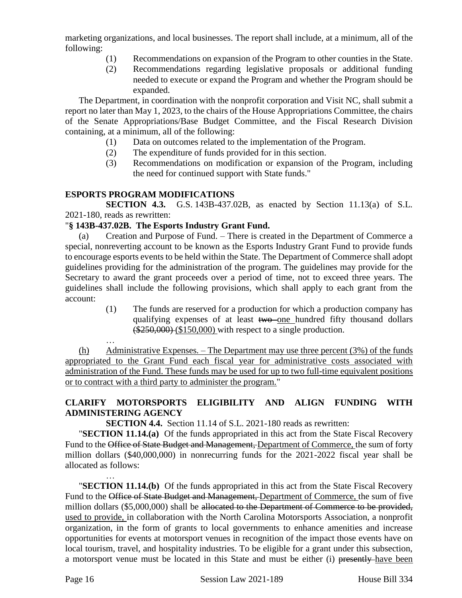marketing organizations, and local businesses. The report shall include, at a minimum, all of the following:

- (1) Recommendations on expansion of the Program to other counties in the State.
- (2) Recommendations regarding legislative proposals or additional funding needed to execute or expand the Program and whether the Program should be expanded.

The Department, in coordination with the nonprofit corporation and Visit NC, shall submit a report no later than May 1, 2023, to the chairs of the House Appropriations Committee, the chairs of the Senate Appropriations/Base Budget Committee, and the Fiscal Research Division containing, at a minimum, all of the following:

- (1) Data on outcomes related to the implementation of the Program.
- (2) The expenditure of funds provided for in this section.
- (3) Recommendations on modification or expansion of the Program, including the need for continued support with State funds."

### **ESPORTS PROGRAM MODIFICATIONS**

**SECTION 4.3.** G.S. 143B-437.02B, as enacted by Section 11.13(a) of S.L. 2021-180, reads as rewritten:

#### "**§ 143B-437.02B. The Esports Industry Grant Fund.**

(a) Creation and Purpose of Fund. – There is created in the Department of Commerce a special, nonreverting account to be known as the Esports Industry Grant Fund to provide funds to encourage esports events to be held within the State. The Department of Commerce shall adopt guidelines providing for the administration of the program. The guidelines may provide for the Secretary to award the grant proceeds over a period of time, not to exceed three years. The guidelines shall include the following provisions, which shall apply to each grant from the account:

> (1) The funds are reserved for a production for which a production company has qualifying expenses of at least two one hundred fifty thousand dollars  $(*250,000)$   $(*150,000)$  with respect to a single production.

… (h) Administrative Expenses. – The Department may use three percent (3%) of the funds appropriated to the Grant Fund each fiscal year for administrative costs associated with administration of the Fund. These funds may be used for up to two full-time equivalent positions or to contract with a third party to administer the program."

# **CLARIFY MOTORSPORTS ELIGIBILITY AND ALIGN FUNDING WITH ADMINISTERING AGENCY**

**SECTION 4.4.** Section 11.14 of S.L. 2021-180 reads as rewritten:

"**SECTION 11.14.(a)** Of the funds appropriated in this act from the State Fiscal Recovery Fund to the Office of State Budget and Management, Department of Commerce, the sum of forty million dollars (\$40,000,000) in nonrecurring funds for the 2021-2022 fiscal year shall be allocated as follows:

… "**SECTION 11.14.(b)** Of the funds appropriated in this act from the State Fiscal Recovery Fund to the Office of State Budget and Management, Department of Commerce, the sum of five million dollars (\$5,000,000) shall be allocated to the Department of Commerce to be provided, used to provide, in collaboration with the North Carolina Motorsports Association, a nonprofit organization, in the form of grants to local governments to enhance amenities and increase opportunities for events at motorsport venues in recognition of the impact those events have on local tourism, travel, and hospitality industries. To be eligible for a grant under this subsection, a motorsport venue must be located in this State and must be either (i) presently have been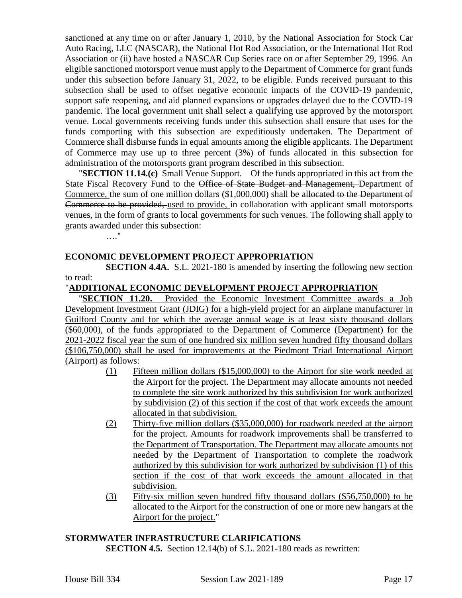sanctioned at any time on or after January 1, 2010, by the National Association for Stock Car Auto Racing, LLC (NASCAR), the National Hot Rod Association, or the International Hot Rod Association or (ii) have hosted a NASCAR Cup Series race on or after September 29, 1996. An eligible sanctioned motorsport venue must apply to the Department of Commerce for grant funds under this subsection before January 31, 2022, to be eligible. Funds received pursuant to this subsection shall be used to offset negative economic impacts of the COVID-19 pandemic, support safe reopening, and aid planned expansions or upgrades delayed due to the COVID-19 pandemic. The local government unit shall select a qualifying use approved by the motorsport venue. Local governments receiving funds under this subsection shall ensure that uses for the funds comporting with this subsection are expeditiously undertaken. The Department of Commerce shall disburse funds in equal amounts among the eligible applicants. The Department of Commerce may use up to three percent (3%) of funds allocated in this subsection for administration of the motorsports grant program described in this subsection.

"**SECTION 11.14.(c)** Small Venue Support. – Of the funds appropriated in this act from the State Fiscal Recovery Fund to the Office of State Budget and Management, Department of Commerce, the sum of one million dollars (\$1,000,000) shall be allocated to the Department of Commerce to be provided, used to provide, in collaboration with applicant small motorsports venues, in the form of grants to local governments for such venues. The following shall apply to grants awarded under this subsection:

…."

### **ECONOMIC DEVELOPMENT PROJECT APPROPRIATION**

**SECTION 4.4A.** S.L. 2021-180 is amended by inserting the following new section to read:

### "**ADDITIONAL ECONOMIC DEVELOPMENT PROJECT APPROPRIATION**

"**SECTION 11.20.** Provided the Economic Investment Committee awards a Job Development Investment Grant (JDIG) for a high-yield project for an airplane manufacturer in Guilford County and for which the average annual wage is at least sixty thousand dollars (\$60,000), of the funds appropriated to the Department of Commerce (Department) for the 2021-2022 fiscal year the sum of one hundred six million seven hundred fifty thousand dollars (\$106,750,000) shall be used for improvements at the Piedmont Triad International Airport (Airport) as follows:

- (1) Fifteen million dollars (\$15,000,000) to the Airport for site work needed at the Airport for the project. The Department may allocate amounts not needed to complete the site work authorized by this subdivision for work authorized by subdivision (2) of this section if the cost of that work exceeds the amount allocated in that subdivision.
- (2) Thirty-five million dollars (\$35,000,000) for roadwork needed at the airport for the project. Amounts for roadwork improvements shall be transferred to the Department of Transportation. The Department may allocate amounts not needed by the Department of Transportation to complete the roadwork authorized by this subdivision for work authorized by subdivision (1) of this section if the cost of that work exceeds the amount allocated in that subdivision.
- (3) Fifty-six million seven hundred fifty thousand dollars (\$56,750,000) to be allocated to the Airport for the construction of one or more new hangars at the Airport for the project."

# **STORMWATER INFRASTRUCTURE CLARIFICATIONS**

**SECTION 4.5.** Section 12.14(b) of S.L. 2021-180 reads as rewritten: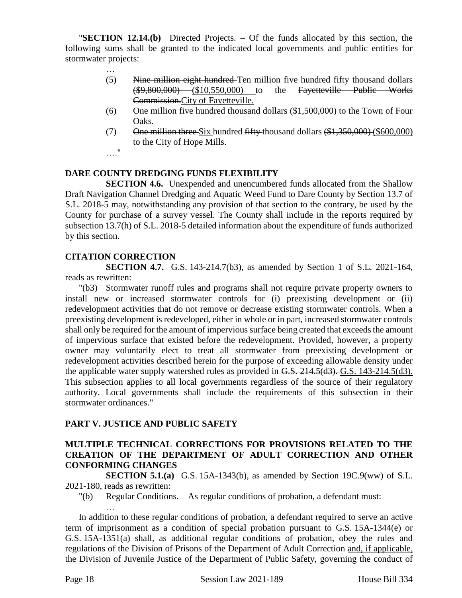"**SECTION 12.14.(b)** Directed Projects. – Of the funds allocated by this section, the following sums shall be granted to the indicated local governments and public entities for stormwater projects:

- … (5) Nine million eight hundred Ten million five hundred fifty thousand dollars (\$9,800,000) (\$10,550,000) to the Fayetteville Public Works Commission.City of Fayetteville.
- (6) One million five hundred thousand dollars (\$1,500,000) to the Town of Four Oaks.
- (7) One million three Six hundred fifty thousand dollars  $(\$1,350,000)$  (\$600,000) to the City of Hope Mills.
- …."

## **DARE COUNTY DREDGING FUNDS FLEXIBILITY**

**SECTION 4.6.** Unexpended and unencumbered funds allocated from the Shallow Draft Navigation Channel Dredging and Aquatic Weed Fund to Dare County by Section 13.7 of S.L. 2018-5 may, notwithstanding any provision of that section to the contrary, be used by the County for purchase of a survey vessel. The County shall include in the reports required by subsection 13.7(h) of S.L. 2018-5 detailed information about the expenditure of funds authorized by this section.

#### **CITATION CORRECTION**

**SECTION 4.7.** G.S. 143-214.7(b3), as amended by Section 1 of S.L. 2021-164, reads as rewritten:

"(b3) Stormwater runoff rules and programs shall not require private property owners to install new or increased stormwater controls for (i) preexisting development or (ii) redevelopment activities that do not remove or decrease existing stormwater controls. When a preexisting development is redeveloped, either in whole or in part, increased stormwater controls shall only be required for the amount of impervious surface being created that exceeds the amount of impervious surface that existed before the redevelopment. Provided, however, a property owner may voluntarily elect to treat all stormwater from preexisting development or redevelopment activities described herein for the purpose of exceeding allowable density under the applicable water supply watershed rules as provided in G.S. 214.5(d3). G.S. 143-214.5(d3). This subsection applies to all local governments regardless of the source of their regulatory authority. Local governments shall include the requirements of this subsection in their stormwater ordinances."

# **PART V. JUSTICE AND PUBLIC SAFETY**

## **MULTIPLE TECHNICAL CORRECTIONS FOR PROVISIONS RELATED TO THE CREATION OF THE DEPARTMENT OF ADULT CORRECTION AND OTHER CONFORMING CHANGES**

**SECTION 5.1.(a)** G.S. 15A-1343(b), as amended by Section 19C.9(ww) of S.L. 2021-180, reads as rewritten:

"(b) Regular Conditions. – As regular conditions of probation, a defendant must:

In addition to these regular conditions of probation, a defendant required to serve an active term of imprisonment as a condition of special probation pursuant to G.S. 15A-1344(e) or G.S. 15A-1351(a) shall, as additional regular conditions of probation, obey the rules and regulations of the Division of Prisons of the Department of Adult Correction and, if applicable, the Division of Juvenile Justice of the Department of Public Safety, governing the conduct of

…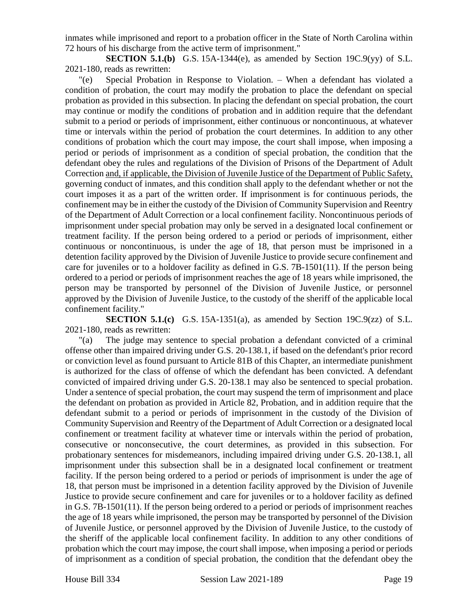inmates while imprisoned and report to a probation officer in the State of North Carolina within 72 hours of his discharge from the active term of imprisonment."

**SECTION 5.1.(b)** G.S. 15A-1344(e), as amended by Section 19C.9(yy) of S.L. 2021-180, reads as rewritten:

"(e) Special Probation in Response to Violation. – When a defendant has violated a condition of probation, the court may modify the probation to place the defendant on special probation as provided in this subsection. In placing the defendant on special probation, the court may continue or modify the conditions of probation and in addition require that the defendant submit to a period or periods of imprisonment, either continuous or noncontinuous, at whatever time or intervals within the period of probation the court determines. In addition to any other conditions of probation which the court may impose, the court shall impose, when imposing a period or periods of imprisonment as a condition of special probation, the condition that the defendant obey the rules and regulations of the Division of Prisons of the Department of Adult Correction and, if applicable, the Division of Juvenile Justice of the Department of Public Safety, governing conduct of inmates, and this condition shall apply to the defendant whether or not the court imposes it as a part of the written order. If imprisonment is for continuous periods, the confinement may be in either the custody of the Division of Community Supervision and Reentry of the Department of Adult Correction or a local confinement facility. Noncontinuous periods of imprisonment under special probation may only be served in a designated local confinement or treatment facility. If the person being ordered to a period or periods of imprisonment, either continuous or noncontinuous, is under the age of 18, that person must be imprisoned in a detention facility approved by the Division of Juvenile Justice to provide secure confinement and care for juveniles or to a holdover facility as defined in G.S. 7B-1501(11). If the person being ordered to a period or periods of imprisonment reaches the age of 18 years while imprisoned, the person may be transported by personnel of the Division of Juvenile Justice, or personnel approved by the Division of Juvenile Justice, to the custody of the sheriff of the applicable local confinement facility."

**SECTION 5.1.(c)** G.S. 15A-1351(a), as amended by Section 19C.9(zz) of S.L. 2021-180, reads as rewritten:

"(a) The judge may sentence to special probation a defendant convicted of a criminal offense other than impaired driving under G.S. 20-138.1, if based on the defendant's prior record or conviction level as found pursuant to Article 81B of this Chapter, an intermediate punishment is authorized for the class of offense of which the defendant has been convicted. A defendant convicted of impaired driving under G.S. 20-138.1 may also be sentenced to special probation. Under a sentence of special probation, the court may suspend the term of imprisonment and place the defendant on probation as provided in Article 82, Probation, and in addition require that the defendant submit to a period or periods of imprisonment in the custody of the Division of Community Supervision and Reentry of the Department of Adult Correction or a designated local confinement or treatment facility at whatever time or intervals within the period of probation, consecutive or nonconsecutive, the court determines, as provided in this subsection. For probationary sentences for misdemeanors, including impaired driving under G.S. 20-138.1, all imprisonment under this subsection shall be in a designated local confinement or treatment facility. If the person being ordered to a period or periods of imprisonment is under the age of 18, that person must be imprisoned in a detention facility approved by the Division of Juvenile Justice to provide secure confinement and care for juveniles or to a holdover facility as defined in G.S. 7B-1501(11). If the person being ordered to a period or periods of imprisonment reaches the age of 18 years while imprisoned, the person may be transported by personnel of the Division of Juvenile Justice, or personnel approved by the Division of Juvenile Justice, to the custody of the sheriff of the applicable local confinement facility. In addition to any other conditions of probation which the court may impose, the court shall impose, when imposing a period or periods of imprisonment as a condition of special probation, the condition that the defendant obey the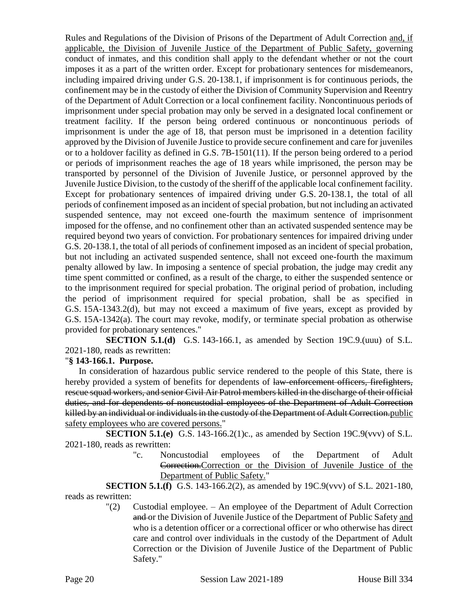Rules and Regulations of the Division of Prisons of the Department of Adult Correction and, if applicable, the Division of Juvenile Justice of the Department of Public Safety, governing conduct of inmates, and this condition shall apply to the defendant whether or not the court imposes it as a part of the written order. Except for probationary sentences for misdemeanors, including impaired driving under G.S. 20-138.1, if imprisonment is for continuous periods, the confinement may be in the custody of either the Division of Community Supervision and Reentry of the Department of Adult Correction or a local confinement facility. Noncontinuous periods of imprisonment under special probation may only be served in a designated local confinement or treatment facility. If the person being ordered continuous or noncontinuous periods of imprisonment is under the age of 18, that person must be imprisoned in a detention facility approved by the Division of Juvenile Justice to provide secure confinement and care for juveniles or to a holdover facility as defined in G.S. 7B-1501(11). If the person being ordered to a period or periods of imprisonment reaches the age of 18 years while imprisoned, the person may be transported by personnel of the Division of Juvenile Justice, or personnel approved by the Juvenile Justice Division, to the custody of the sheriff of the applicable local confinement facility. Except for probationary sentences of impaired driving under G.S. 20-138.1, the total of all periods of confinement imposed as an incident of special probation, but not including an activated suspended sentence, may not exceed one-fourth the maximum sentence of imprisonment imposed for the offense, and no confinement other than an activated suspended sentence may be required beyond two years of conviction. For probationary sentences for impaired driving under G.S. 20-138.1, the total of all periods of confinement imposed as an incident of special probation, but not including an activated suspended sentence, shall not exceed one-fourth the maximum penalty allowed by law. In imposing a sentence of special probation, the judge may credit any time spent committed or confined, as a result of the charge, to either the suspended sentence or to the imprisonment required for special probation. The original period of probation, including the period of imprisonment required for special probation, shall be as specified in G.S. 15A-1343.2(d), but may not exceed a maximum of five years, except as provided by G.S. 15A-1342(a). The court may revoke, modify, or terminate special probation as otherwise provided for probationary sentences."

**SECTION 5.1.(d)** G.S. 143-166.1, as amended by Section 19C.9.(uuu) of S.L. 2021-180, reads as rewritten:

#### "**§ 143-166.1. Purpose.**

In consideration of hazardous public service rendered to the people of this State, there is hereby provided a system of benefits for dependents of law-enforcement officers, firefighters, rescue squad workers, and senior Civil Air Patrol members killed in the discharge of their official duties, and for dependents of noncustodial employees of the Department of Adult Correction killed by an individual or individuals in the custody of the Department of Adult Correction.public safety employees who are covered persons."

**SECTION 5.1.(e)** G.S. 143-166.2(1)c., as amended by Section 19C.9(vvv) of S.L. 2021-180, reads as rewritten:

> "c. Noncustodial employees of the Department of Adult Correction.Correction or the Division of Juvenile Justice of the Department of Public Safety."

**SECTION 5.1.(f)** G.S. 143-166.2(2), as amended by 19C.9(vvv) of S.L. 2021-180, reads as rewritten:

"(2) Custodial employee. – An employee of the Department of Adult Correction and or the Division of Juvenile Justice of the Department of Public Safety and who is a detention officer or a correctional officer or who otherwise has direct care and control over individuals in the custody of the Department of Adult Correction or the Division of Juvenile Justice of the Department of Public Safety."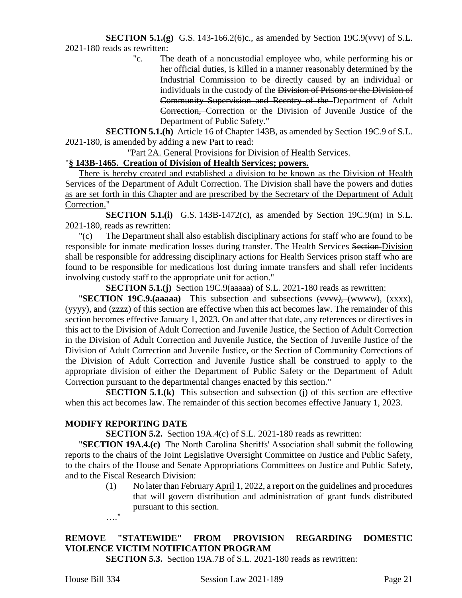#### **SECTION 5.1.(g)** G.S. 143-166.2(6)c., as amended by Section 19C.9(vvv) of S.L. 2021-180 reads as rewritten:

"c. The death of a noncustodial employee who, while performing his or her official duties, is killed in a manner reasonably determined by the Industrial Commission to be directly caused by an individual or individuals in the custody of the Division of Prisons or the Division of Community Supervision and Reentry of the Department of Adult Correction, Correction or the Division of Juvenile Justice of the Department of Public Safety."

**SECTION 5.1.(h)** Article 16 of Chapter 143B, as amended by Section 19C.9 of S.L. 2021-180, is amended by adding a new Part to read:

"Part 2A. General Provisions for Division of Health Services.

# "**§ 143B-1465. Creation of Division of Health Services; powers.**

There is hereby created and established a division to be known as the Division of Health Services of the Department of Adult Correction. The Division shall have the powers and duties as are set forth in this Chapter and are prescribed by the Secretary of the Department of Adult Correction."

**SECTION 5.1.(i)** G.S. 143B-1472(c), as amended by Section 19C.9(m) in S.L. 2021-180, reads as rewritten:

"(c) The Department shall also establish disciplinary actions for staff who are found to be responsible for inmate medication losses during transfer. The Health Services Section Division shall be responsible for addressing disciplinary actions for Health Services prison staff who are found to be responsible for medications lost during inmate transfers and shall refer incidents involving custody staff to the appropriate unit for action."

**SECTION 5.1.(j)** Section 19C.9(aaaaa) of S.L. 2021-180 reads as rewritten:

"**SECTION 19C.9.(aaaaa)** This subsection and subsections (vvvv*)*, (wwww), (xxxx), (yyyy), and (zzzz) of this section are effective when this act becomes law. The remainder of this section becomes effective January 1, 2023. On and after that date, any references or directives in this act to the Division of Adult Correction and Juvenile Justice, the Section of Adult Correction in the Division of Adult Correction and Juvenile Justice, the Section of Juvenile Justice of the Division of Adult Correction and Juvenile Justice, or the Section of Community Corrections of the Division of Adult Correction and Juvenile Justice shall be construed to apply to the appropriate division of either the Department of Public Safety or the Department of Adult Correction pursuant to the departmental changes enacted by this section."

**SECTION 5.1.(k)** This subsection and subsection (j) of this section are effective when this act becomes law. The remainder of this section becomes effective January 1, 2023.

#### **MODIFY REPORTING DATE**

**SECTION 5.2.** Section 19A.4(c) of S.L. 2021-180 reads as rewritten:

"**SECTION 19A.4.(c)** The North Carolina Sheriffs' Association shall submit the following reports to the chairs of the Joint Legislative Oversight Committee on Justice and Public Safety, to the chairs of the House and Senate Appropriations Committees on Justice and Public Safety, and to the Fiscal Research Division:

- (1) No later than February April 1, 2022, a report on the guidelines and procedures that will govern distribution and administration of grant funds distributed pursuant to this section. …."
- **REMOVE "STATEWIDE" FROM PROVISION REGARDING DOMESTIC VIOLENCE VICTIM NOTIFICATION PROGRAM**

**SECTION 5.3.** Section 19A.7B of S.L. 2021-180 reads as rewritten: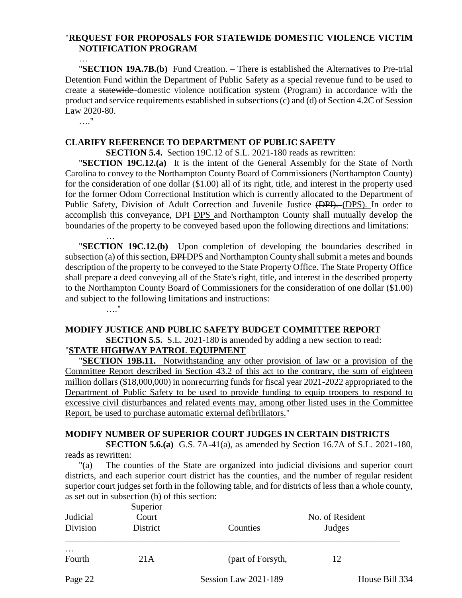## "**REQUEST FOR PROPOSALS FOR STATEWIDE DOMESTIC VIOLENCE VICTIM NOTIFICATION PROGRAM**

"**SECTION 19A.7B.(b)** Fund Creation. – There is established the Alternatives to Pre-trial Detention Fund within the Department of Public Safety as a special revenue fund to be used to create a statewide domestic violence notification system (Program) in accordance with the product and service requirements established in subsections (c) and (d) of Section 4.2C of Session Law 2020-80.

…."

…

#### **CLARIFY REFERENCE TO DEPARTMENT OF PUBLIC SAFETY**

**SECTION 5.4.** Section 19C.12 of S.L. 2021-180 reads as rewritten:

"**SECTION 19C.12.(a)** It is the intent of the General Assembly for the State of North Carolina to convey to the Northampton County Board of Commissioners (Northampton County) for the consideration of one dollar (\$1.00) all of its right, title, and interest in the property used for the former Odom Correctional Institution which is currently allocated to the Department of Public Safety, Division of Adult Correction and Juvenile Justice (DPI). (DPS). In order to accomplish this conveyance, **DPI-DPS** and Northampton County shall mutually develop the boundaries of the property to be conveyed based upon the following directions and limitations:

… "**SECTION 19C.12.(b)** Upon completion of developing the boundaries described in subsection (a) of this section, DPHDPS and Northampton County shall submit a metes and bounds description of the property to be conveyed to the State Property Office. The State Property Office shall prepare a deed conveying all of the State's right, title, and interest in the described property to the Northampton County Board of Commissioners for the consideration of one dollar (\$1.00) and subject to the following limitations and instructions:

…."

# **MODIFY JUSTICE AND PUBLIC SAFETY BUDGET COMMITTEE REPORT**

**SECTION 5.5.** S.L. 2021-180 is amended by adding a new section to read: "**STATE HIGHWAY PATROL EQUIPMENT**

"**SECTION 19B.11.** Notwithstanding any other provision of law or a provision of the Committee Report described in Section 43.2 of this act to the contrary, the sum of eighteen million dollars (\$18,000,000) in nonrecurring funds for fiscal year 2021-2022 appropriated to the Department of Public Safety to be used to provide funding to equip troopers to respond to excessive civil disturbances and related events may, among other listed uses in the Committee Report, be used to purchase automatic external defibrillators."

# **MODIFY NUMBER OF SUPERIOR COURT JUDGES IN CERTAIN DISTRICTS**

**SECTION 5.6.(a)** G.S. 7A-41(a), as amended by Section 16.7A of S.L. 2021-180, reads as rewritten:

"(a) The counties of the State are organized into judicial divisions and superior court districts, and each superior court district has the counties, and the number of regular resident superior court judges set forth in the following table, and for districts of less than a whole county, as set out in subsection (b) of this section:  $S_{\text{SUS}}$   $\omega$  is  $\omega$ 

| Judicial<br>Division | <b>Superior</b><br>Court<br>District | Counties             | No. of Resident<br>Judges |                |
|----------------------|--------------------------------------|----------------------|---------------------------|----------------|
| $\cdots$<br>Fourth   | 21A                                  | (part of Forsyth,    | $+2$                      |                |
| Page 22              |                                      | Session Law 2021-189 |                           | House Bill 334 |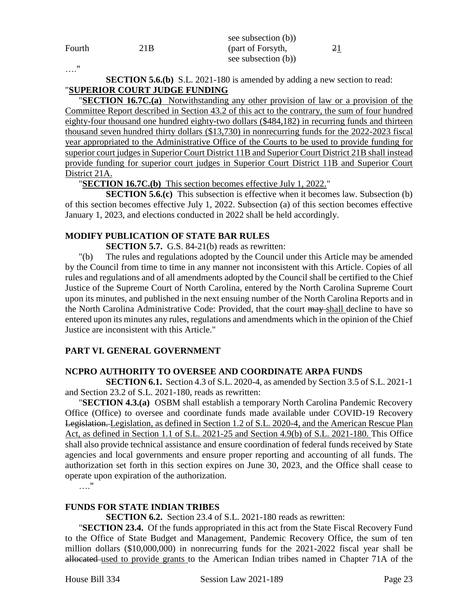|        |      | see subsection (b)) |    |
|--------|------|---------------------|----|
| Fourth | 21 B | (part of Forsyth,   | 21 |
|        |      | see subsection (b)) |    |

…."

**SECTION 5.6.(b)** S.L. 2021-180 is amended by adding a new section to read: "**SUPERIOR COURT JUDGE FUNDING**

"**SECTION 16.7C.(a)** Notwithstanding any other provision of law or a provision of the Committee Report described in Section 43.2 of this act to the contrary, the sum of four hundred eighty-four thousand one hundred eighty-two dollars (\$484,182) in recurring funds and thirteen thousand seven hundred thirty dollars (\$13,730) in nonrecurring funds for the 2022-2023 fiscal year appropriated to the Administrative Office of the Courts to be used to provide funding for superior court judges in Superior Court District 11B and Superior Court District 21B shall instead provide funding for superior court judges in Superior Court District 11B and Superior Court District 21A.

"**SECTION 16.7C.(b)** This section becomes effective July 1, 2022."

**SECTION 5.6.(c)** This subsection is effective when it becomes law. Subsection (b) of this section becomes effective July 1, 2022. Subsection (a) of this section becomes effective January 1, 2023, and elections conducted in 2022 shall be held accordingly.

# **MODIFY PUBLICATION OF STATE BAR RULES**

**SECTION 5.7.** G.S. 84-21(b) reads as rewritten:

"(b) The rules and regulations adopted by the Council under this Article may be amended by the Council from time to time in any manner not inconsistent with this Article. Copies of all rules and regulations and of all amendments adopted by the Council shall be certified to the Chief Justice of the Supreme Court of North Carolina, entered by the North Carolina Supreme Court upon its minutes, and published in the next ensuing number of the North Carolina Reports and in the North Carolina Administrative Code: Provided, that the court may shall decline to have so entered upon its minutes any rules, regulations and amendments which in the opinion of the Chief Justice are inconsistent with this Article."

# **PART VI. GENERAL GOVERNMENT**

# **NCPRO AUTHORITY TO OVERSEE AND COORDINATE ARPA FUNDS**

**SECTION 6.1.** Section 4.3 of S.L. 2020-4, as amended by Section 3.5 of S.L. 2021-1 and Section 23.2 of S.L. 2021-180, reads as rewritten:

"**SECTION 4.3.(a)** OSBM shall establish a temporary North Carolina Pandemic Recovery Office (Office) to oversee and coordinate funds made available under COVID-19 Recovery Legislation. Legislation, as defined in Section 1.2 of S.L. 2020-4, and the American Rescue Plan Act, as defined in Section 1.1 of S.L. 2021-25 and Section 4.9(b) of S.L. 2021-180. This Office shall also provide technical assistance and ensure coordination of federal funds received by State agencies and local governments and ensure proper reporting and accounting of all funds. The authorization set forth in this section expires on June 30, 2023, and the Office shall cease to operate upon expiration of the authorization.

…."

# **FUNDS FOR STATE INDIAN TRIBES**

**SECTION 6.2.** Section 23.4 of S.L. 2021-180 reads as rewritten:

"**SECTION 23.4.** Of the funds appropriated in this act from the State Fiscal Recovery Fund to the Office of State Budget and Management, Pandemic Recovery Office, the sum of ten million dollars (\$10,000,000) in nonrecurring funds for the 2021-2022 fiscal year shall be allocated used to provide grants to the American Indian tribes named in Chapter 71A of the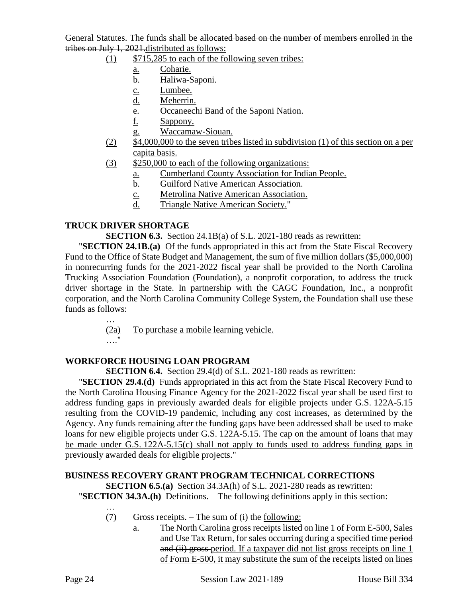General Statutes. The funds shall be allocated based on the number of members enrolled in the tribes on July 1, 2021.distributed as follows:

- $(1)$  \$715,285 to each of the following seven tribes:
	- a. Coharie.
	- b. Haliwa-Saponi.
	- c. Lumbee.
	- d. Meherrin.
	- e. Occaneechi Band of the Saponi Nation.
	- f. Sappony.
	- g. Waccamaw-Siouan.
- (2) \$4,000,000 to the seven tribes listed in subdivision (1) of this section on a per capita basis.
- (3) \$250,000 to each of the following organizations:
	- a. Cumberland County Association for Indian People.
	- b. Guilford Native American Association.
	- c. Metrolina Native American Association.
	- d. Triangle Native American Society."

#### **TRUCK DRIVER SHORTAGE**

**SECTION 6.3.** Section 24.1B(a) of S.L. 2021-180 reads as rewritten:

"**SECTION 24.1B.(a)** Of the funds appropriated in this act from the State Fiscal Recovery Fund to the Office of State Budget and Management, the sum of five million dollars (\$5,000,000) in nonrecurring funds for the 2021-2022 fiscal year shall be provided to the North Carolina Trucking Association Foundation (Foundation), a nonprofit corporation, to address the truck driver shortage in the State. In partnership with the CAGC Foundation, Inc., a nonprofit corporation, and the North Carolina Community College System, the Foundation shall use these funds as follows:

> (2a) To purchase a mobile learning vehicle. …"

#### **WORKFORCE HOUSING LOAN PROGRAM**

**SECTION 6.4.** Section 29.4(d) of S.L. 2021-180 reads as rewritten:

"**SECTION 29.4.(d)** Funds appropriated in this act from the State Fiscal Recovery Fund to the North Carolina Housing Finance Agency for the 2021-2022 fiscal year shall be used first to address funding gaps in previously awarded deals for eligible projects under G.S. 122A-5.15 resulting from the COVID-19 pandemic, including any cost increases, as determined by the Agency. Any funds remaining after the funding gaps have been addressed shall be used to make loans for new eligible projects under G.S. 122A-5.15. The cap on the amount of loans that may be made under G.S. 122A-5.15(c) shall not apply to funds used to address funding gaps in previously awarded deals for eligible projects."

# **BUSINESS RECOVERY GRANT PROGRAM TECHNICAL CORRECTIONS**

**SECTION 6.5.(a)** Section 34.3A(h) of S.L. 2021-280 reads as rewritten: "**SECTION 34.3A.(h)** Definitions. – The following definitions apply in this section:

- (7) Gross receipts. The sum of  $\leftrightarrow$  the following:
	- a. The North Carolina gross receipts listed on line 1 of Form E-500, Sales and Use Tax Return, for sales occurring during a specified time period and (ii) gross-period. If a taxpayer did not list gross receipts on line 1 of Form E-500, it may substitute the sum of the receipts listed on lines

…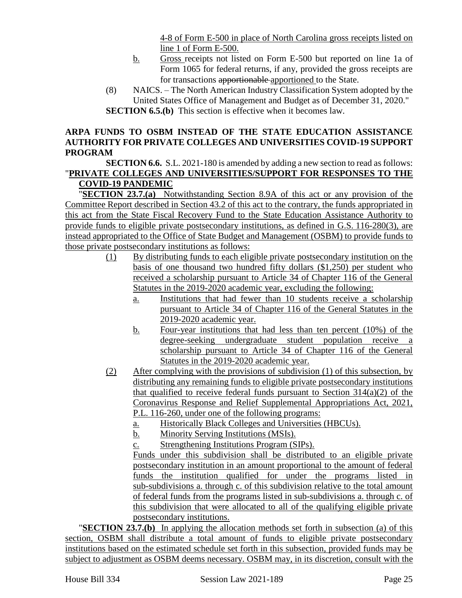4-8 of Form E-500 in place of North Carolina gross receipts listed on line 1 of Form E-500.

- b. Gross receipts not listed on Form E-500 but reported on line 1a of Form 1065 for federal returns, if any, provided the gross receipts are for transactions apportionable apportioned to the State.
- (8) NAICS. The North American Industry Classification System adopted by the United States Office of Management and Budget as of December 31, 2020." **SECTION 6.5.(b)** This section is effective when it becomes law.

# **ARPA FUNDS TO OSBM INSTEAD OF THE STATE EDUCATION ASSISTANCE AUTHORITY FOR PRIVATE COLLEGES AND UNIVERSITIES COVID-19 SUPPORT PROGRAM**

**SECTION 6.6.** S.L. 2021-180 is amended by adding a new section to read as follows: "**PRIVATE COLLEGES AND UNIVERSITIES/SUPPORT FOR RESPONSES TO THE COVID-19 PANDEMIC**

"**SECTION 23.7.(a)** Notwithstanding Section 8.9A of this act or any provision of the Committee Report described in Section 43.2 of this act to the contrary, the funds appropriated in this act from the State Fiscal Recovery Fund to the State Education Assistance Authority to provide funds to eligible private postsecondary institutions, as defined in G.S. 116-280(3), are instead appropriated to the Office of State Budget and Management (OSBM) to provide funds to those private postsecondary institutions as follows:

- (1) By distributing funds to each eligible private postsecondary institution on the basis of one thousand two hundred fifty dollars (\$1,250) per student who received a scholarship pursuant to Article 34 of Chapter 116 of the General Statutes in the 2019-2020 academic year, excluding the following:
	- a. Institutions that had fewer than 10 students receive a scholarship pursuant to Article 34 of Chapter 116 of the General Statutes in the 2019-2020 academic year.
	- b. Four-year institutions that had less than ten percent (10%) of the degree-seeking undergraduate student population receive a scholarship pursuant to Article 34 of Chapter 116 of the General Statutes in the 2019-2020 academic year.
- (2) After complying with the provisions of subdivision (1) of this subsection, by distributing any remaining funds to eligible private postsecondary institutions that qualified to receive federal funds pursuant to Section  $314(a)(2)$  of the Coronavirus Response and Relief Supplemental Appropriations Act, 2021, P.L. 116-260, under one of the following programs:
	- a. Historically Black Colleges and Universities (HBCUs).
	- b. Minority Serving Institutions (MSIs).
	- c. Strengthening Institutions Program (SIPs).

Funds under this subdivision shall be distributed to an eligible private postsecondary institution in an amount proportional to the amount of federal funds the institution qualified for under the programs listed in sub-subdivisions a. through c. of this subdivision relative to the total amount of federal funds from the programs listed in sub-subdivisions a. through c. of this subdivision that were allocated to all of the qualifying eligible private postsecondary institutions.

"**SECTION 23.7.(b)** In applying the allocation methods set forth in subsection (a) of this section, OSBM shall distribute a total amount of funds to eligible private postsecondary institutions based on the estimated schedule set forth in this subsection, provided funds may be subject to adjustment as OSBM deems necessary. OSBM may, in its discretion, consult with the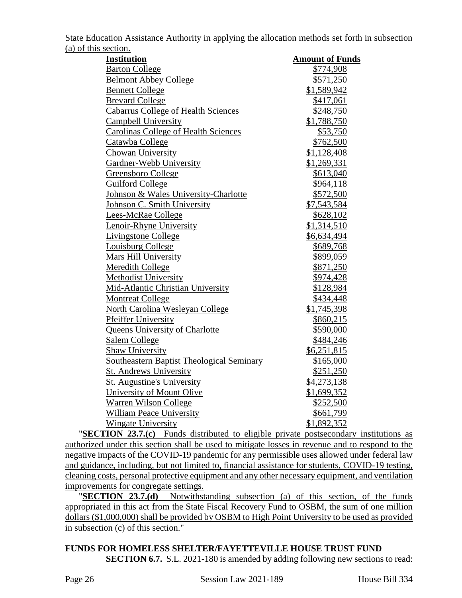State Education Assistance Authority in applying the allocation methods set forth in subsection (a) of this section.

| <u>secretis</u><br><b>Institution</b>       | <b>Amount of Funds</b> |
|---------------------------------------------|------------------------|
| <b>Barton College</b>                       | \$774,908              |
| <b>Belmont Abbey College</b>                | \$571,250              |
| <b>Bennett College</b>                      | \$1,589,942            |
| <b>Brevard College</b>                      | \$417,061              |
| <b>Cabarrus College of Health Sciences</b>  | \$248,750              |
| <b>Campbell University</b>                  | \$1,788,750            |
| <b>Carolinas College of Health Sciences</b> | \$53,750               |
| Catawba College                             | \$762,500              |
| Chowan University                           | \$1,128,408            |
| Gardner-Webb University                     | \$1,269,331            |
| Greensboro College                          | \$613,040              |
| <b>Guilford College</b>                     | \$964,118              |
| Johnson & Wales University-Charlotte        | \$572,500              |
| Johnson C. Smith University                 | \$7,543,584            |
| Lees-McRae College                          | \$628,102              |
| Lenoir-Rhyne University                     | \$1,314,510            |
| <b>Livingstone College</b>                  | \$6,634,494            |
| <b>Louisburg College</b>                    | \$689,768              |
| Mars Hill University                        | \$899,059              |
| <b>Meredith College</b>                     | \$871,250              |
| <b>Methodist University</b>                 | \$974,428              |
| Mid-Atlantic Christian University           | \$128,984              |
| <b>Montreat College</b>                     | \$434,448              |
| North Carolina Wesleyan College             | \$1,745,398            |
| <b>Pfeiffer University</b>                  | \$860,215              |
| <b>Queens University of Charlotte</b>       | \$590,000              |
| Salem College                               | \$484,246              |
| Shaw University                             | \$6,251,815            |
| Southeastern Baptist Theological Seminary   | \$165,000              |
| <b>St. Andrews University</b>               | \$251,250              |
| <b>St. Augustine's University</b>           | \$4,273,138            |
| University of Mount Olive                   | \$1,699,352            |
| Warren Wilson College                       | \$252,500              |
| <b>William Peace University</b>             | \$661,799              |
| <b>Wingate University</b>                   | \$1,892,352            |

"**SECTION 23.7.(c)** Funds distributed to eligible private postsecondary institutions as authorized under this section shall be used to mitigate losses in revenue and to respond to the negative impacts of the COVID-19 pandemic for any permissible uses allowed under federal law and guidance, including, but not limited to, financial assistance for students, COVID-19 testing, cleaning costs, personal protective equipment and any other necessary equipment, and ventilation improvements for congregate settings.

"**SECTION 23.7.(d)** Notwithstanding subsection (a) of this section, of the funds appropriated in this act from the State Fiscal Recovery Fund to OSBM, the sum of one million dollars (\$1,000,000) shall be provided by OSBM to High Point University to be used as provided in subsection (c) of this section."

**FUNDS FOR HOMELESS SHELTER/FAYETTEVILLE HOUSE TRUST FUND SECTION 6.7.** S.L. 2021-180 is amended by adding following new sections to read: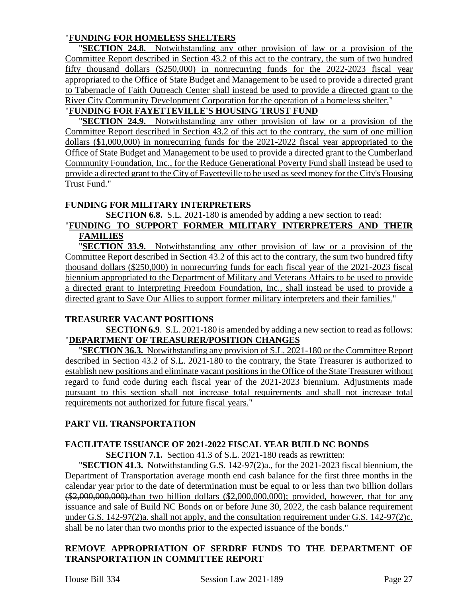# "**FUNDING FOR HOMELESS SHELTERS**

"**SECTION 24.8.** Notwithstanding any other provision of law or a provision of the Committee Report described in Section 43.2 of this act to the contrary, the sum of two hundred fifty thousand dollars (\$250,000) in nonrecurring funds for the 2022-2023 fiscal year appropriated to the Office of State Budget and Management to be used to provide a directed grant to Tabernacle of Faith Outreach Center shall instead be used to provide a directed grant to the River City Community Development Corporation for the operation of a homeless shelter."

# "**FUNDING FOR FAYETTEVILLE'S HOUSING TRUST FUND**

"**SECTION 24.9.** Notwithstanding any other provision of law or a provision of the Committee Report described in Section 43.2 of this act to the contrary, the sum of one million dollars (\$1,000,000) in nonrecurring funds for the 2021-2022 fiscal year appropriated to the Office of State Budget and Management to be used to provide a directed grant to the Cumberland Community Foundation, Inc., for the Reduce Generational Poverty Fund shall instead be used to provide a directed grant to the City of Fayetteville to be used asseed money for the City's Housing Trust Fund."

### **FUNDING FOR MILITARY INTERPRETERS**

**SECTION 6.8.** S.L. 2021-180 is amended by adding a new section to read:

# "**FUNDING TO SUPPORT FORMER MILITARY INTERPRETERS AND THEIR FAMILIES**

"**SECTION 33.9.** Notwithstanding any other provision of law or a provision of the Committee Report described in Section 43.2 of this act to the contrary, the sum two hundred fifty thousand dollars (\$250,000) in nonrecurring funds for each fiscal year of the 2021-2023 fiscal biennium appropriated to the Department of Military and Veterans Affairs to be used to provide a directed grant to Interpreting Freedom Foundation, Inc., shall instead be used to provide a directed grant to Save Our Allies to support former military interpreters and their families."

# **TREASURER VACANT POSITIONS**

**SECTION 6.9**. S.L. 2021-180 is amended by adding a new section to read as follows: "**DEPARTMENT OF TREASURER/POSITION CHANGES**

"**SECTION 36.3.** Notwithstanding any provision of S.L. 2021-180 or the Committee Report described in Section 43.2 of S.L. 2021-180 to the contrary, the State Treasurer is authorized to establish new positions and eliminate vacant positions in the Office of the State Treasurer without regard to fund code during each fiscal year of the 2021-2023 biennium. Adjustments made pursuant to this section shall not increase total requirements and shall not increase total requirements not authorized for future fiscal years."

# **PART VII. TRANSPORTATION**

# **FACILITATE ISSUANCE OF 2021-2022 FISCAL YEAR BUILD NC BONDS**

**SECTION 7.1.** Section 41.3 of S.L. 2021-180 reads as rewritten:

"**SECTION 41.3.** Notwithstanding G.S. 142-97(2)a., for the 2021-2023 fiscal biennium, the Department of Transportation average month end cash balance for the first three months in the calendar year prior to the date of determination must be equal to or less than two billion dollars  $(*2,000,000,000)$ : than two billion dollars  $(*2,000,000,000)$ ; provided, however, that for any issuance and sale of Build NC Bonds on or before June 30, 2022, the cash balance requirement under G.S. 142-97(2)a. shall not apply, and the consultation requirement under G.S. 142-97(2)c. shall be no later than two months prior to the expected issuance of the bonds."

# **REMOVE APPROPRIATION OF SERDRF FUNDS TO THE DEPARTMENT OF TRANSPORTATION IN COMMITTEE REPORT**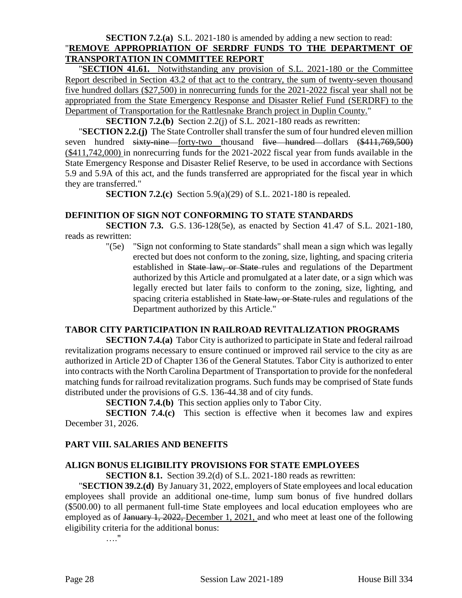#### **SECTION 7.2.(a)** S.L. 2021-180 is amended by adding a new section to read: "**REMOVE APPROPRIATION OF SERDRF FUNDS TO THE DEPARTMENT OF TRANSPORTATION IN COMMITTEE REPORT**

"**SECTION 41.61.** Notwithstanding any provision of S.L. 2021-180 or the Committee Report described in Section 43.2 of that act to the contrary, the sum of twenty-seven thousand five hundred dollars (\$27,500) in nonrecurring funds for the 2021-2022 fiscal year shall not be appropriated from the State Emergency Response and Disaster Relief Fund (SERDRF) to the Department of Transportation for the Rattlesnake Branch project in Duplin County."

**SECTION 7.2.(b)** Section 2.2(j) of S.L. 2021-180 reads as rewritten:

"**SECTION 2.2.(j)** The State Controller shall transfer the sum of four hundred eleven million seven hundred sixty-nine forty-two thousand five hundred dollars (\$411,769,500) (\$411,742,000) in nonrecurring funds for the 2021-2022 fiscal year from funds available in the State Emergency Response and Disaster Relief Reserve, to be used in accordance with Sections 5.9 and 5.9A of this act, and the funds transferred are appropriated for the fiscal year in which they are transferred."

**SECTION 7.2.(c)** Section 5.9(a)(29) of S.L. 2021-180 is repealed.

#### **DEFINITION OF SIGN NOT CONFORMING TO STATE STANDARDS**

**SECTION 7.3.** G.S. 136-128(5e), as enacted by Section 41.47 of S.L. 2021-180, reads as rewritten:

> "(5e) "Sign not conforming to State standards" shall mean a sign which was legally erected but does not conform to the zoning, size, lighting, and spacing criteria established in State law, or State rules and regulations of the Department authorized by this Article and promulgated at a later date, or a sign which was legally erected but later fails to conform to the zoning, size, lighting, and spacing criteria established in State law, or State rules and regulations of the Department authorized by this Article."

#### **TABOR CITY PARTICIPATION IN RAILROAD REVITALIZATION PROGRAMS**

**SECTION 7.4.(a)** Tabor City is authorized to participate in State and federal railroad revitalization programs necessary to ensure continued or improved rail service to the city as are authorized in Article 2D of Chapter 136 of the General Statutes. Tabor City is authorized to enter into contracts with the North Carolina Department of Transportation to provide for the nonfederal matching funds for railroad revitalization programs. Such funds may be comprised of State funds distributed under the provisions of G.S. 136-44.38 and of city funds.

**SECTION 7.4.(b)** This section applies only to Tabor City.

**SECTION 7.4.(c)** This section is effective when it becomes law and expires December 31, 2026.

#### **PART VIII. SALARIES AND BENEFITS**

# **ALIGN BONUS ELIGIBILITY PROVISIONS FOR STATE EMPLOYEES**

**SECTION 8.1.** Section 39.2(d) of S.L. 2021-180 reads as rewritten:

"**SECTION 39.2.(d)** By January 31, 2022, employers of State employees and local education employees shall provide an additional one-time, lump sum bonus of five hundred dollars (\$500.00) to all permanent full-time State employees and local education employees who are employed as of January 1, 2022, December 1, 2021, and who meet at least one of the following eligibility criteria for the additional bonus:

…."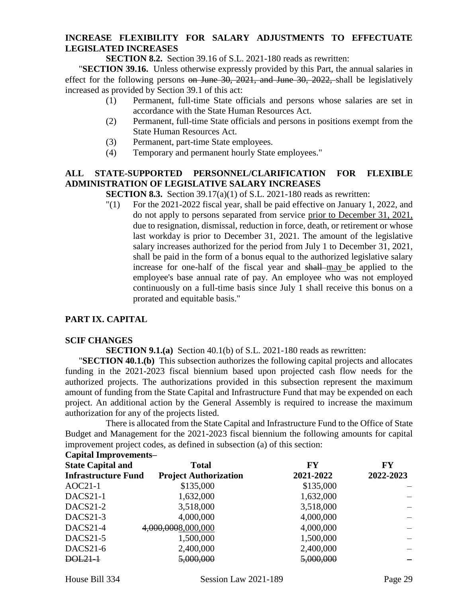# **INCREASE FLEXIBILITY FOR SALARY ADJUSTMENTS TO EFFECTUATE LEGISLATED INCREASES**

**SECTION 8.2.** Section 39.16 of S.L. 2021-180 reads as rewritten:

"**SECTION 39.16.** Unless otherwise expressly provided by this Part, the annual salaries in effect for the following persons on June  $30$ ,  $2021$ , and June  $30$ ,  $2022$ , shall be legislatively increased as provided by Section 39.1 of this act:

- (1) Permanent, full-time State officials and persons whose salaries are set in accordance with the State Human Resources Act.
- (2) Permanent, full-time State officials and persons in positions exempt from the State Human Resources Act.
- (3) Permanent, part-time State employees.
- (4) Temporary and permanent hourly State employees."

# **ALL STATE-SUPPORTED PERSONNEL/CLARIFICATION FOR FLEXIBLE ADMINISTRATION OF LEGISLATIVE SALARY INCREASES**

**SECTION 8.3.** Section 39.17(a)(1) of S.L. 2021-180 reads as rewritten:

"(1) For the 2021-2022 fiscal year, shall be paid effective on January 1, 2022, and do not apply to persons separated from service prior to December 31, 2021, due to resignation, dismissal, reduction in force, death, or retirement or whose last workday is prior to December 31, 2021. The amount of the legislative salary increases authorized for the period from July 1 to December 31, 2021, shall be paid in the form of a bonus equal to the authorized legislative salary increase for one-half of the fiscal year and shall may be applied to the employee's base annual rate of pay. An employee who was not employed continuously on a full-time basis since July 1 shall receive this bonus on a prorated and equitable basis."

# **PART IX. CAPITAL**

#### **SCIF CHANGES**

**SECTION 9.1.(a)** Section 40.1(b) of S.L. 2021-180 reads as rewritten:

"**SECTION 40.1.(b)** This subsection authorizes the following capital projects and allocates funding in the 2021-2023 fiscal biennium based upon projected cash flow needs for the authorized projects. The authorizations provided in this subsection represent the maximum amount of funding from the State Capital and Infrastructure Fund that may be expended on each project. An additional action by the General Assembly is required to increase the maximum authorization for any of the projects listed.

There is allocated from the State Capital and Infrastructure Fund to the Office of State Budget and Management for the 2021-2023 fiscal biennium the following amounts for capital improvement project codes, as defined in subsection (a) of this section:

#### **Capital Improvements–**

| <b>State Capital and</b>   | <b>Total</b>                 | <b>FY</b> | FY        |
|----------------------------|------------------------------|-----------|-----------|
| <b>Infrastructure Fund</b> | <b>Project Authorization</b> | 2021-2022 | 2022-2023 |
| $AOC21-1$                  | \$135,000                    | \$135,000 |           |
| DACS21-1                   | 1,632,000                    | 1,632,000 |           |
| DACS21-2                   | 3,518,000                    | 3,518,000 |           |
| DACS21-3                   | 4,000,000                    | 4,000,000 |           |
| DACS21-4                   | 4,000,0008,000,000           | 4,000,000 |           |
| $DACS21-5$                 | 1,500,000                    | 1,500,000 |           |
| DACS21-6                   | 2,400,000                    | 2,400,000 |           |
| DOL21-1                    | 5,000,000                    | 5,000,000 |           |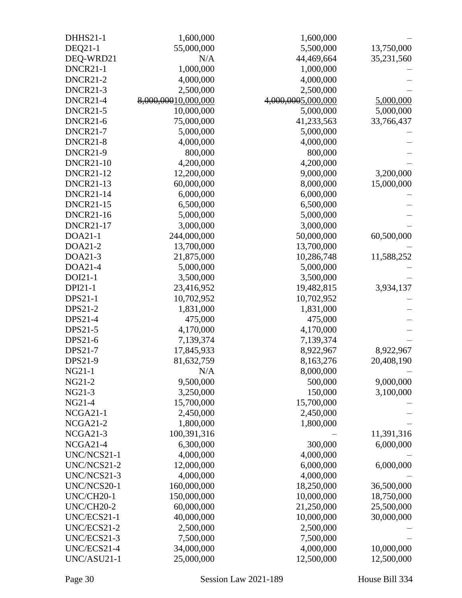| <b>DHHS21-1</b>  | 1,600,000           | 1,600,000          |            |
|------------------|---------------------|--------------------|------------|
| DEQ21-1          | 55,000,000          | 5,500,000          | 13,750,000 |
| DEQ-WRD21        | N/A                 | 44,469,664         | 35,231,560 |
| DNCR21-1         | 1,000,000           | 1,000,000          |            |
| <b>DNCR21-2</b>  | 4,000,000           | 4,000,000          |            |
| DNCR21-3         | 2,500,000           | 2,500,000          |            |
| DNCR21-4         | 8,000,00010,000,000 | 4,000,0005,000,000 | 5,000,000  |
| <b>DNCR21-5</b>  | 10,000,000          | 5,000,000          | 5,000,000  |
| <b>DNCR21-6</b>  | 75,000,000          | 41,233,563         | 33,766,437 |
| <b>DNCR21-7</b>  | 5,000,000           | 5,000,000          |            |
| DNCR21-8         | 4,000,000           | 4,000,000          |            |
| <b>DNCR21-9</b>  | 800,000             | 800,000            |            |
| <b>DNCR21-10</b> | 4,200,000           | 4,200,000          |            |
| <b>DNCR21-12</b> | 12,200,000          | 9,000,000          | 3,200,000  |
| <b>DNCR21-13</b> | 60,000,000          | 8,000,000          | 15,000,000 |
| <b>DNCR21-14</b> | 6,000,000           | 6,000,000          |            |
| <b>DNCR21-15</b> | 6,500,000           | 6,500,000          |            |
| <b>DNCR21-16</b> | 5,000,000           | 5,000,000          |            |
| <b>DNCR21-17</b> | 3,000,000           | 3,000,000          |            |
| DOA21-1          | 244,000,000         | 50,000,000         | 60,500,000 |
| DOA21-2          | 13,700,000          | 13,700,000         |            |
| DOA21-3          | 21,875,000          | 10,286,748         | 11,588,252 |
| DOA21-4          | 5,000,000           | 5,000,000          |            |
| DOI21-1          | 3,500,000           | 3,500,000          |            |
| DPI21-1          | 23,416,952          | 19,482,815         | 3,934,137  |
| <b>DPS21-1</b>   | 10,702,952          | 10,702,952         |            |
| <b>DPS21-2</b>   | 1,831,000           | 1,831,000          |            |
| DPS21-4          | 475,000             | 475,000            |            |
| DPS21-5          | 4,170,000           | 4,170,000          |            |
| DPS21-6          | 7,139,374           | 7,139,374          |            |
| DPS21-7          | 17,845,933          | 8,922,967          | 8,922,967  |
| <b>DPS21-9</b>   | 81,632,759          | 8,163,276          | 20,408,190 |
| NG21-1           | N/A                 | 8,000,000          |            |
| NG21-2           | 9,500,000           | 500,000            | 9,000,000  |
| NG21-3           | 3,250,000           | 150,000            | 3,100,000  |
| NG21-4           | 15,700,000          | 15,700,000         |            |
| NCGA21-1         | 2,450,000           | 2,450,000          |            |
| NCGA21-2         | 1,800,000           | 1,800,000          |            |
| NCGA21-3         | 100,391,316         |                    | 11,391,316 |
| NCGA21-4         | 6,300,000           | 300,000            | 6,000,000  |
| UNC/NCS21-1      | 4,000,000           | 4,000,000          |            |
| UNC/NCS21-2      | 12,000,000          | 6,000,000          | 6,000,000  |
| UNC/NCS21-3      | 4,000,000           | 4,000,000          |            |
| UNC/NCS20-1      | 160,000,000         | 18,250,000         | 36,500,000 |
| UNC/CH20-1       | 150,000,000         | 10,000,000         | 18,750,000 |
| UNC/CH20-2       | 60,000,000          | 21,250,000         | 25,500,000 |
| UNC/ECS21-1      | 40,000,000          | 10,000,000         | 30,000,000 |
| UNC/ECS21-2      | 2,500,000           | 2,500,000          |            |
| UNC/ECS21-3      | 7,500,000           | 7,500,000          |            |
| UNC/ECS21-4      | 34,000,000          | 4,000,000          | 10,000,000 |
| UNC/ASU21-1      | 25,000,000          | 12,500,000         | 12,500,000 |
|                  |                     |                    |            |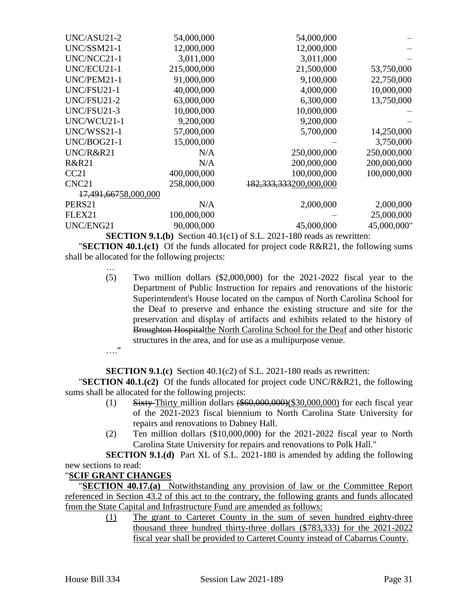| UNC/ASU21-2                      | 54,000,000  | 54,000,000                  |             |
|----------------------------------|-------------|-----------------------------|-------------|
| UNC/SSM21-1                      | 12,000,000  | 12,000,000                  |             |
| UNC/NCC21-1                      | 3,011,000   | 3,011,000                   |             |
| UNC/ECU21-1                      | 215,000,000 | 21,500,000                  | 53,750,000  |
| UNC/PEM21-1                      | 91,000,000  | 9,100,000                   | 22,750,000  |
| UNC/FSU21-1                      | 40,000,000  | 4,000,000                   | 10,000,000  |
| UNC/FSU21-2                      | 63,000,000  | 6,300,000                   | 13,750,000  |
| UNC/FSU21-3                      | 10,000,000  | 10,000,000                  |             |
| UNC/WCU21-1                      | 9,200,000   | 9,200,000                   |             |
| UNC/WSS21-1                      | 57,000,000  | 5,700,000                   | 14,250,000  |
| UNC/BOG21-1                      | 15,000,000  |                             | 3,750,000   |
| UNC/R&R21                        | N/A         | 250,000,000                 | 250,000,000 |
| R&R21                            | N/A         | 200,000,000                 | 200,000,000 |
| CC21                             | 400,000,000 | 100,000,000                 | 100,000,000 |
| CNC <sub>21</sub>                | 258,000,000 | 182, 333, 333 200, 000, 000 |             |
| <del>17,491,667</del> 58,000,000 |             |                             |             |
| PERS21                           | N/A         | 2,000,000                   | 2,000,000   |
| FLEX21                           | 100,000,000 |                             | 25,000,000  |
| UNC/ENG21                        | 90,000,000  | 45,000,000                  | 45,000,000" |
|                                  |             |                             |             |

**SECTION 9.1.(b)** Section 40.1(c1) of S.L. 2021-180 reads as rewritten:

"**SECTION 40.1.(c1)** Of the funds allocated for project code R&R21, the following sums shall be allocated for the following projects:

- (5) Two million dollars (\$2,000,000) for the 2021-2022 fiscal year to the Department of Public Instruction for repairs and renovations of the historic Superintendent's House located on the campus of North Carolina School for the Deaf to preserve and enhance the existing structure and site for the preservation and display of artifacts and exhibits related to the history of Broughton Hospitalthe North Carolina School for the Deaf and other historic structures in the area, and for use as a multipurpose venue.
- …."

…

**SECTION 9.1.(c)** Section 40.1(c2) of S.L. 2021-180 reads as rewritten:

"**SECTION 40.1.(c2)** Of the funds allocated for project code UNC/R&R21, the following sums shall be allocated for the following projects:

- (1) Sixty-Thirty million dollars  $(\$60,000,000)(\$30,000,000)$  for each fiscal year of the 2021-2023 fiscal biennium to North Carolina State University for repairs and renovations to Dabney Hall.
- (2) Ten million dollars (\$10,000,000) for the 2021-2022 fiscal year to North Carolina State University for repairs and renovations to Polk Hall."

**SECTION 9.1.(d)** Part XL of S.L. 2021-180 is amended by adding the following new sections to read:

# "**SCIF GRANT CHANGES**

"**SECTION 40.17.(a)** Notwithstanding any provision of law or the Committee Report referenced in Section 43.2 of this act to the contrary, the following grants and funds allocated from the State Capital and Infrastructure Fund are amended as follows:

> (1) The grant to Carteret County in the sum of seven hundred eighty-three thousand three hundred thirty-three dollars (\$783,333) for the 2021-2022 fiscal year shall be provided to Carteret County instead of Cabarrus County.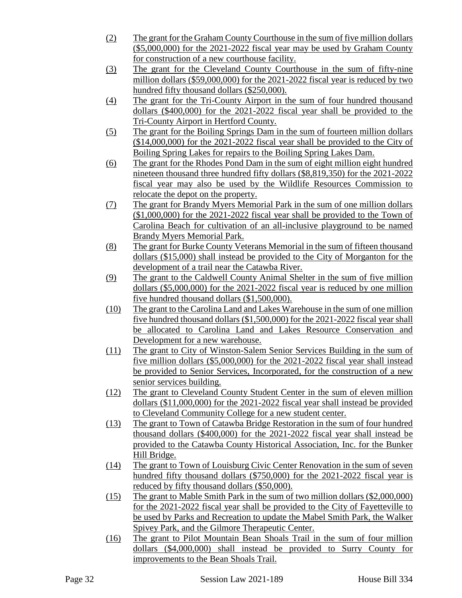- (2) The grant for the Graham CountyCourthouse in the sum of five million dollars (\$5,000,000) for the 2021-2022 fiscal year may be used by Graham County for construction of a new courthouse facility.
- (3) The grant for the Cleveland County Courthouse in the sum of fifty-nine million dollars (\$59,000,000) for the 2021-2022 fiscal year is reduced by two hundred fifty thousand dollars (\$250,000).
- (4) The grant for the Tri-County Airport in the sum of four hundred thousand dollars (\$400,000) for the 2021-2022 fiscal year shall be provided to the Tri-County Airport in Hertford County.
- (5) The grant for the Boiling Springs Dam in the sum of fourteen million dollars (\$14,000,000) for the 2021-2022 fiscal year shall be provided to the City of Boiling Spring Lakes for repairs to the Boiling Spring Lakes Dam.
- (6) The grant for the Rhodes Pond Dam in the sum of eight million eight hundred nineteen thousand three hundred fifty dollars (\$8,819,350) for the 2021-2022 fiscal year may also be used by the Wildlife Resources Commission to relocate the depot on the property.
- (7) The grant for Brandy Myers Memorial Park in the sum of one million dollars (\$1,000,000) for the 2021-2022 fiscal year shall be provided to the Town of Carolina Beach for cultivation of an all-inclusive playground to be named Brandy Myers Memorial Park.
- (8) The grant for Burke County Veterans Memorial in the sum of fifteen thousand dollars (\$15,000) shall instead be provided to the City of Morganton for the development of a trail near the Catawba River.
- (9) The grant to the Caldwell County Animal Shelter in the sum of five million dollars (\$5,000,000) for the 2021-2022 fiscal year is reduced by one million five hundred thousand dollars (\$1,500,000).
- (10) The grant to the Carolina Land and Lakes Warehouse in the sum of one million five hundred thousand dollars (\$1,500,000) for the 2021-2022 fiscal year shall be allocated to Carolina Land and Lakes Resource Conservation and Development for a new warehouse.
- (11) The grant to City of Winston-Salem Senior Services Building in the sum of five million dollars (\$5,000,000) for the 2021-2022 fiscal year shall instead be provided to Senior Services, Incorporated, for the construction of a new senior services building.
- (12) The grant to Cleveland County Student Center in the sum of eleven million dollars (\$11,000,000) for the 2021-2022 fiscal year shall instead be provided to Cleveland Community College for a new student center.
- (13) The grant to Town of Catawba Bridge Restoration in the sum of four hundred thousand dollars (\$400,000) for the 2021-2022 fiscal year shall instead be provided to the Catawba County Historical Association, Inc. for the Bunker Hill Bridge.
- (14) The grant to Town of Louisburg Civic Center Renovation in the sum of seven hundred fifty thousand dollars (\$750,000) for the 2021-2022 fiscal year is reduced by fifty thousand dollars (\$50,000).
- (15) The grant to Mable Smith Park in the sum of two million dollars (\$2,000,000) for the 2021-2022 fiscal year shall be provided to the City of Fayetteville to be used by Parks and Recreation to update the Mabel Smith Park, the Walker Spivey Park, and the Gilmore Therapeutic Center.
- (16) The grant to Pilot Mountain Bean Shoals Trail in the sum of four million dollars (\$4,000,000) shall instead be provided to Surry County for improvements to the Bean Shoals Trail.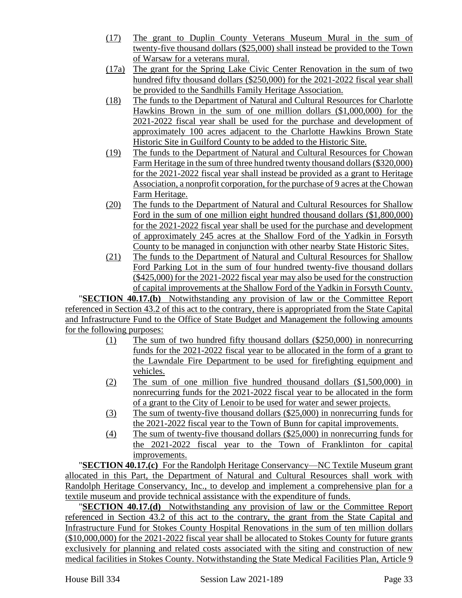- (17) The grant to Duplin County Veterans Museum Mural in the sum of twenty-five thousand dollars (\$25,000) shall instead be provided to the Town of Warsaw for a veterans mural.
- (17a) The grant for the Spring Lake Civic Center Renovation in the sum of two hundred fifty thousand dollars (\$250,000) for the 2021-2022 fiscal year shall be provided to the Sandhills Family Heritage Association.
- (18) The funds to the Department of Natural and Cultural Resources for Charlotte Hawkins Brown in the sum of one million dollars (\$1,000,000) for the 2021-2022 fiscal year shall be used for the purchase and development of approximately 100 acres adjacent to the Charlotte Hawkins Brown State Historic Site in Guilford County to be added to the Historic Site.
- (19) The funds to the Department of Natural and Cultural Resources for Chowan Farm Heritage in the sum of three hundred twenty thousand dollars (\$320,000) for the 2021-2022 fiscal year shall instead be provided as a grant to Heritage Association, a nonprofit corporation, for the purchase of 9 acres at the Chowan Farm Heritage.
- (20) The funds to the Department of Natural and Cultural Resources for Shallow Ford in the sum of one million eight hundred thousand dollars (\$1,800,000) for the 2021-2022 fiscal year shall be used for the purchase and development of approximately 245 acres at the Shallow Ford of the Yadkin in Forsyth County to be managed in conjunction with other nearby State Historic Sites.
- (21) The funds to the Department of Natural and Cultural Resources for Shallow Ford Parking Lot in the sum of four hundred twenty-five thousand dollars (\$425,000) for the 2021-2022 fiscal year may also be used for the construction of capital improvements at the Shallow Ford of the Yadkin in Forsyth County.

"**SECTION 40.17.(b)** Notwithstanding any provision of law or the Committee Report referenced in Section 43.2 of this act to the contrary, there is appropriated from the State Capital and Infrastructure Fund to the Office of State Budget and Management the following amounts for the following purposes:

- (1) The sum of two hundred fifty thousand dollars (\$250,000) in nonrecurring funds for the 2021-2022 fiscal year to be allocated in the form of a grant to the Lawndale Fire Department to be used for firefighting equipment and vehicles.
- (2) The sum of one million five hundred thousand dollars (\$1,500,000) in nonrecurring funds for the 2021-2022 fiscal year to be allocated in the form of a grant to the City of Lenoir to be used for water and sewer projects.
- (3) The sum of twenty-five thousand dollars (\$25,000) in nonrecurring funds for the 2021-2022 fiscal year to the Town of Bunn for capital improvements.
- (4) The sum of twenty-five thousand dollars (\$25,000) in nonrecurring funds for the 2021-2022 fiscal year to the Town of Franklinton for capital improvements.

"**SECTION 40.17.(c)** For the Randolph Heritage Conservancy—NC Textile Museum grant allocated in this Part, the Department of Natural and Cultural Resources shall work with Randolph Heritage Conservancy, Inc., to develop and implement a comprehensive plan for a textile museum and provide technical assistance with the expenditure of funds.

**SECTION 40.17.(d)** Notwithstanding any provision of law or the Committee Report referenced in Section 43.2 of this act to the contrary, the grant from the State Capital and Infrastructure Fund for Stokes County Hospital Renovations in the sum of ten million dollars (\$10,000,000) for the 2021-2022 fiscal year shall be allocated to Stokes County for future grants exclusively for planning and related costs associated with the siting and construction of new medical facilities in Stokes County. Notwithstanding the State Medical Facilities Plan, Article 9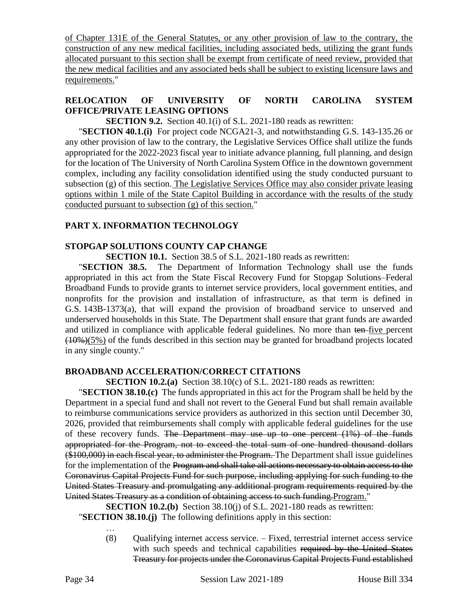of Chapter 131E of the General Statutes, or any other provision of law to the contrary, the construction of any new medical facilities, including associated beds, utilizing the grant funds allocated pursuant to this section shall be exempt from certificate of need review, provided that the new medical facilities and any associated beds shall be subject to existing licensure laws and requirements."

# **RELOCATION OF UNIVERSITY OF NORTH CAROLINA SYSTEM OFFICE/PRIVATE LEASING OPTIONS**

**SECTION 9.2.** Section 40.1(i) of S.L. 2021-180 reads as rewritten:

"**SECTION 40.1.(i)** For project code NCGA21-3, and notwithstanding G.S. 143-135.26 or any other provision of law to the contrary, the Legislative Services Office shall utilize the funds appropriated for the 2022-2023 fiscal year to initiate advance planning, full planning, and design for the location of The University of North Carolina System Office in the downtown government complex, including any facility consolidation identified using the study conducted pursuant to subsection (g) of this section. The Legislative Services Office may also consider private leasing options within 1 mile of the State Capitol Building in accordance with the results of the study conducted pursuant to subsection (g) of this section."

# **PART X. INFORMATION TECHNOLOGY**

# **STOPGAP SOLUTIONS COUNTY CAP CHANGE**

**SECTION 10.1.** Section 38.5 of S.L. 2021-180 reads as rewritten:

"**SECTION 38.5.** The Department of Information Technology shall use the funds appropriated in this act from the State Fiscal Recovery Fund for Stopgap Solutions–Federal Broadband Funds to provide grants to internet service providers, local government entities, and nonprofits for the provision and installation of infrastructure, as that term is defined in G.S. 143B-1373(a), that will expand the provision of broadband service to unserved and underserved households in this State. The Department shall ensure that grant funds are awarded and utilized in compliance with applicable federal guidelines. No more than ten-five percent  $(10\%)$ (5%) of the funds described in this section may be granted for broadband projects located in any single county."

# **BROADBAND ACCELERATION/CORRECT CITATIONS**

**SECTION 10.2.(a)** Section 38.10(c) of S.L. 2021-180 reads as rewritten:

"**SECTION 38.10.(c)** The funds appropriated in this act for the Program shall be held by the Department in a special fund and shall not revert to the General Fund but shall remain available to reimburse communications service providers as authorized in this section until December 30, 2026, provided that reimbursements shall comply with applicable federal guidelines for the use of these recovery funds. The Department may use up to one percent (1%) of the funds appropriated for the Program, not to exceed the total sum of one hundred thousand dollars (\$100,000) in each fiscal year, to administer the Program. The Department shall issue guidelines for the implementation of the Program and shall take all actions necessary to obtain access to the Coronavirus Capital Projects Fund for such purpose, including applying for such funding to the United States Treasury and promulgating any additional program requirements required by the United States Treasury as a condition of obtaining access to such funding.Program."

**SECTION 10.2.(b)** Section 38.10(j) of S.L. 2021-180 reads as rewritten:

"**SECTION 38.10.(j)** The following definitions apply in this section: …

> (8) Qualifying internet access service. – Fixed, terrestrial internet access service with such speeds and technical capabilities required by the United States Treasury for projects under the Coronavirus Capital Projects Fund established